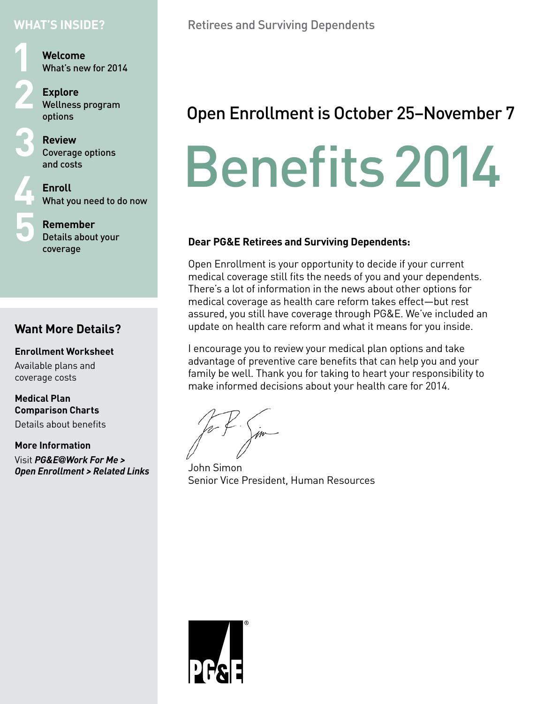# **WHAT'S INSIDE?**

**1**

**2**

**3**

**4**

**5**

**Welcome** What's new for 2014

**Explore** Wellness program options

**Review** Coverage options and costs

**Enroll** What you need to do now

**Remember** Details about your coverage

# **Want More Details?**

**Enrollment Worksheet** Available plans and coverage costs

**Medical Plan Comparison Charts**  Details about benefits

**More Information**

Visit *PG&E@Work For Me > Open Enrollment > Related Links*

# Open Enrollment is October 25–November 7

# Benefits2014

# **Dear PG&E Retirees and Surviving Dependents:**

Open Enrollment is your opportunity to decide if your current medical coverage still fits the needs of you and your dependents. There's a lot of information in the news about other options for medical coverage as health care reform takes effect—but rest assured, you still have coverage through PG&E. We've included an update on health care reform and what it means for you inside.

I encourage you to review your medical plan options and take advantage of preventive care benefits that can help you and your family be well. Thank you for taking to heart your responsibility to make informed decisions about your health care for 2014.

John Simon Senior Vice President, Human Resources

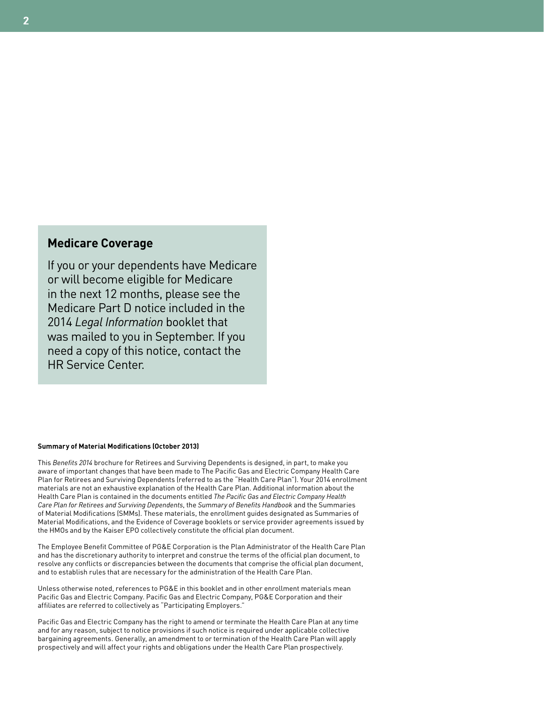#### **Medicare Coverage**

If you or your dependents have Medicare or will become eligible for Medicare in the next 12 months, please see the Medicare Part D notice included in the 2014 *Legal Information* booklet that was mailed to you in September. If you need a copy of this notice, contact the HR Service Center.

#### **Summary of Material Modifications (October 2013)**

This *Benefits 2014* brochure for Retirees and Surviving Dependents is designed, in part, to make you aware of important changes that have been made to The Pacific Gas and Electric Company Health Care Plan for Retirees and Surviving Dependents (referred to as the "Health Care Plan"). Your 2014 enrollment materials are not an exhaustive explanation of the Health Care Plan. Additional information about the Health Care Plan is contained in the documents entitled *The Pacific Gas and Electric Company Health Care Plan for Retirees and Surviving Dependents*, the *Summary of Benefits Handbook* and the Summaries of Material Modifications (SMMs). These materials, the enrollment guides designated as Summaries of Material Modifications, and the Evidence of Coverage booklets or service provider agreements issued by the HMOs and by the Kaiser EPO collectively constitute the official plan document.

The Employee Benefit Committee of PG&E Corporation is the Plan Administrator of the Health Care Plan and has the discretionary authority to interpret and construe the terms of the official plan document, to resolve any conflicts or discrepancies between the documents that comprise the official plan document, and to establish rules that are necessary for the administration of the Health Care Plan.

Unless otherwise noted, references to PG&E in this booklet and in other enrollment materials mean Pacific Gas and Electric Company. Pacific Gas and Electric Company, PG&E Corporation and their affiliates are referred to collectively as "Participating Employers."

Pacific Gas and Electric Company has the right to amend or terminate the Health Care Plan at any time and for any reason, subject to notice provisions if such notice is required under applicable collective bargaining agreements. Generally, an amendment to or termination of the Health Care Plan will apply prospectively and will affect your rights and obligations under the Health Care Plan prospectively.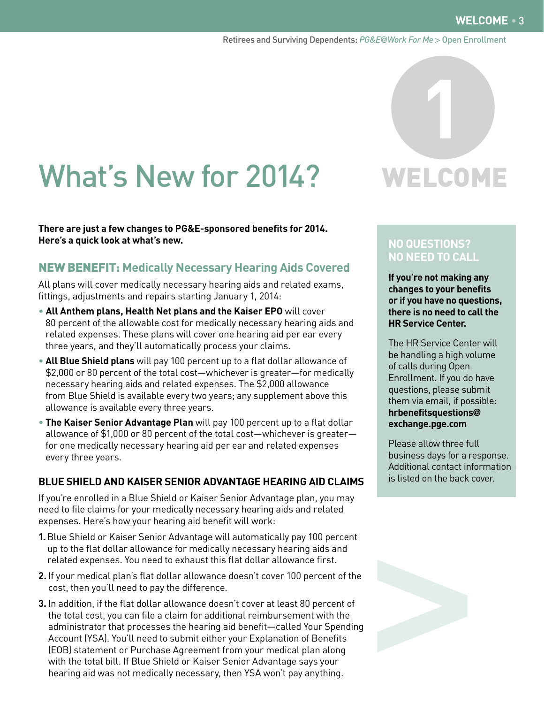#### **WELCOME** • 3

# What's New for 2014?

**There are just a few changes to PG&E-sponsored benefits for 2014. Here's a quick look at what's new.**

# NEW BENEFIT: **Medically Necessary Hearing Aids Covered**

All plans will cover medically necessary hearing aids and related exams, fittings, adjustments and repairs starting January 1, 2014:

- **All Anthem plans, Health Net plans and the Kaiser EPO** will cover 80 percent of the allowable cost for medically necessary hearing aids and related expenses. These plans will cover one hearing aid per ear every three years, and they'll automatically process your claims.
- **All Blue Shield plans** will pay 100 percent up to a flat dollar allowance of \$2,000 or 80 percent of the total cost—whichever is greater—for medically necessary hearing aids and related expenses. The \$2,000 allowance from Blue Shield is available every two years; any supplement above this allowance is available every three years.
- **The Kaiser Senior Advantage Plan** will pay 100 percent up to a flat dollar allowance of \$1,000 or 80 percent of the total cost—whichever is greater for one medically necessary hearing aid per ear and related expenses every three years.

#### **BLUE SHIELD AND KAISER SENIOR ADVANTAGE HEARING AID CLAIMS**

If you're enrolled in a Blue Shield or Kaiser Senior Advantage plan, you may need to file claims for your medically necessary hearing aids and related expenses. Here's how your hearing aid benefit will work:

- **1.**Blue Shield or Kaiser Senior Advantage will automatically pay 100 percent up to the flat dollar allowance for medically necessary hearing aids and related expenses. You need to exhaust this flat dollar allowance first.
- **2.** If your medical plan's flat dollar allowance doesn't cover 100 percent of the cost, then you'll need to pay the difference.
- **3.** In addition, if the flat dollar allowance doesn't cover at least 80 percent of the total cost, you can file a claim for additional reimbursement with the administrator that processes the hearing aid benefit—called Your Spending Account (YSA). You'll need to submit either your Explanation of Benefits (EOB) statement or Purchase Agreement from your medical plan along with the total bill. If Blue Shield or Kaiser Senior Advantage says your hearing aid was not medically necessary, then YSA won't pay anything.

# **1** WELCOME

# **NO QUESTIONS? NO NEED TO CALL**

**If you're not making any changes to your benefits or if you have no questions, there is no need to call the HR Service Center.** 

The HR Service Center will be handling a high volume of calls during Open Enrollment. If you do have questions, please submit them via email, if possible: **hrbenefitsquestions@ exchange.pge.com**

Please allow three full business days for a response. Additional contact information is listed on the back cover.

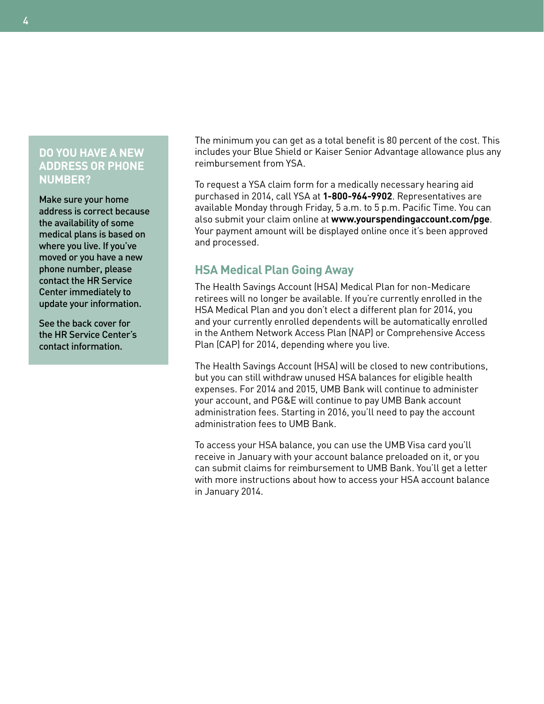# **DO YOU HAVE A NEW ADDRESS OR PHONE NUMBER?**

Make sure your home address is correct because the availability of some medical plans is based on where you live. If you've moved or you have a new phone number, please contact the HR Service Center immediately to update your information.

See the back cover for the HR Service Center's contact information.

The minimum you can get as a total benefit is 80 percent of the cost. This includes your Blue Shield or Kaiser Senior Advantage allowance plus any reimbursement from YSA.

To request a YSA claim form for a medically necessary hearing aid purchased in 2014, call YSA at **1-800-964-9902**. Representatives are available Monday through Friday, 5 a.m. to 5 p.m. Pacific Time. You can also submit your claim online at **www.yourspendingaccount.com/pge**. Your payment amount will be displayed online once it's been approved and processed.

# **HSA Medical Plan Going Away**

The Health Savings Account (HSA) Medical Plan for non-Medicare retirees will no longer be available. If you're currently enrolled in the HSA Medical Plan and you don't elect a different plan for 2014, you and your currently enrolled dependents will be automatically enrolled in the Anthem Network Access Plan (NAP) or Comprehensive Access Plan (CAP) for 2014, depending where you live.

The Health Savings Account (HSA) will be closed to new contributions, but you can still withdraw unused HSA balances for eligible health expenses. For 2014 and 2015, UMB Bank will continue to administer your account, and PG&E will continue to pay UMB Bank account administration fees. Starting in 2016, you'll need to pay the account administration fees to UMB Bank.

To access your HSA balance, you can use the UMB Visa card you'll receive in January with your account balance preloaded on it, or you can submit claims for reimbursement to UMB Bank. You'll get a letter with more instructions about how to access your HSA account balance in January 2014.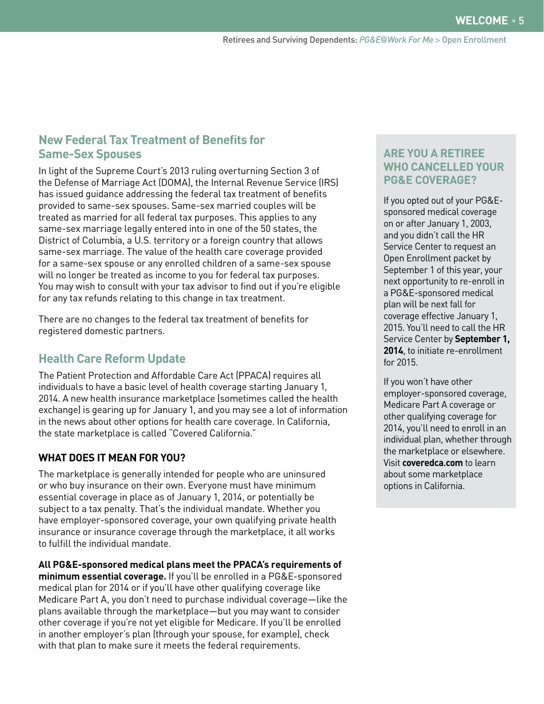# **New Federal Tax Treatment of Benefits for Same-Sex Spouses**

In light of the Supreme Court's 2013 ruling overturning Section 3 of the Defense of Marriage Act (DOMA), the Internal Revenue Service (IRS) has issued guidance addressing the federal tax treatment of benefits provided to same-sex spouses. Same-sex married couples will be treated as married for all federal tax purposes. This applies to any same-sex marriage legally entered into in one of the 50 states, the District of Columbia, a U.S. territory or a foreign country that allows same-sex marriage. The value of the health care coverage provided for a same-sex spouse or any enrolled children of a same-sex spouse will no longer be treated as income to you for federal tax purposes. You may wish to consult with your tax advisor to find out if you're eligible for any tax refunds relating to this change in tax treatment.

There are no changes to the federal tax treatment of benefits for registered domestic partners.

# **Health Care Reform Update**

The Patient Protection and Affordable Care Act (PPACA) requires all individuals to have a basic level of health coverage starting January 1, 2014. A new health insurance marketplace (sometimes called the health exchange) is gearing up for January 1, and you may see a lot of information in the news about other options for health care coverage. In California, the state marketplace is called "Covered California."

#### **WHAT DOES IT MEAN FOR YOU?**

The marketplace is generally intended for people who are uninsured or who buy insurance on their own. Everyone must have minimum essential coverage in place as of January 1, 2014, or potentially be subject to a tax penalty. That's the individual mandate. Whether you have employer-sponsored coverage, your own qualifying private health insurance or insurance coverage through the marketplace, it all works to fulfill the individual mandate.

**All PG&E-sponsored medical plans meet the PPACA's requirements of minimum essential coverage.** If you'll be enrolled in a PG&E-sponsored medical plan for 2014 or if you'll have other qualifying coverage like Medicare Part A, you don't need to purchase individual coverage—like the plans available through the marketplace—but you may want to consider other coverage if you're not yet eligible for Medicare. If you'll be enrolled in another employer's plan (through your spouse, for example), check with that plan to make sure it meets the federal requirements.

## **ARE YOU A RETIREE WHO CANCELLED YOUR PG&E COVERAGE?**

If you opted out of your PG&Esponsored medical coverage on or after January 1, 2003, and you didn't call the HR Service Center to request an Open Enrollment packet by September 1 of this year, your next opportunity to re-enroll in a PG&E-sponsored medical plan will be next fall for coverage effective January 1, 2015. You'll need to call the HR Service Center by **September 1, 2014**, to initiate re-enrollment for 2015.

If you won't have other employer-sponsored coverage, Medicare Part A coverage or other qualifying coverage for 2014, you'll need to enroll in an individual plan, whether through the marketplace or elsewhere. Visit **coveredca**.**com** to learn about some marketplace options in California.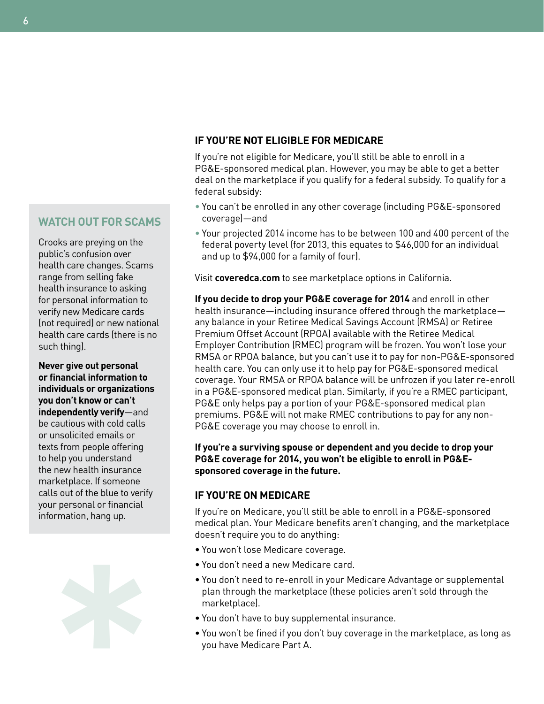## **WATCH OUT FOR SCAMS**

Crooks are preying on the public's confusion over health care changes. Scams range from selling fake health insurance to asking for personal information to verify new Medicare cards (not required) or new national health care cards (there is no such thing).

**Never give out personal or financial information to individuals or organizations you don't know or can't independently verify**—and be cautious with cold calls or unsolicited emails or texts from people offering to help you understand the new health insurance marketplace. If someone calls out of the blue to verify your personal or financial information, hang up.



#### **IF YOU'RE NOT ELIGIBLE FOR MEDICARE**

If you're not eligible for Medicare, you'll still be able to enroll in a PG&E-sponsored medical plan. However, you may be able to get a better deal on the marketplace if you qualify for a federal subsidy. To qualify for a federal subsidy:

- You can't be enrolled in any other coverage (including PG&E-sponsored coverage)—and
- Your projected 2014 income has to be between 100 and 400 percent of the federal poverty level (for 2013, this equates to \$46,000 for an individual and up to \$94,000 for a family of four).

Visit **coveredca.com** to see marketplace options in California.

**If you decide to drop your PG&E coverage for 2014** and enroll in other health insurance—including insurance offered through the marketplace any balance in your Retiree Medical Savings Account (RMSA) or Retiree Premium Offset Account (RPOA) available with the Retiree Medical Employer Contribution (RMEC) program will be frozen. You won't lose your RMSA or RPOA balance, but you can't use it to pay for non-PG&E-sponsored health care. You can only use it to help pay for PG&E-sponsored medical coverage. Your RMSA or RPOA balance will be unfrozen if you later re-enroll in a PG&E-sponsored medical plan. Similarly, if you're a RMEC participant, PG&E only helps pay a portion of your PG&E-sponsored medical plan premiums. PG&E will not make RMEC contributions to pay for any non-PG&E coverage you may choose to enroll in.

#### **If you're a surviving spouse or dependent and you decide to drop your PG&E coverage for 2014, you won't be eligible to enroll in PG&Esponsored coverage in the future.**

#### **IF YOU'RE ON MEDICARE**

If you're on Medicare, you'll still be able to enroll in a PG&E-sponsored medical plan. Your Medicare benefits aren't changing, and the marketplace doesn't require you to do anything:

- You won't lose Medicare coverage.
- You don't need a new Medicare card.
- You don't need to re-enroll in your Medicare Advantage or supplemental plan through the marketplace (these policies aren't sold through the marketplace).
- You don't have to buy supplemental insurance.
- You won't be fined if you don't buy coverage in the marketplace, as long as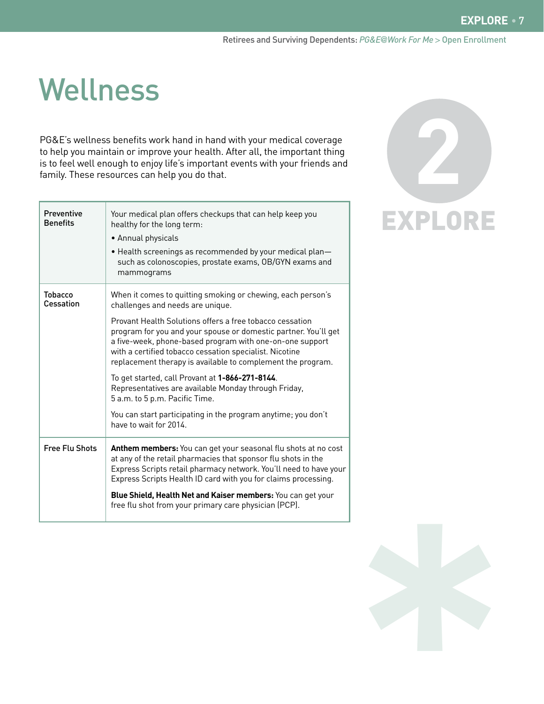# Wellness

PG&E's wellness benefits work hand in hand with your medical coverage to help you maintain or improve your health. After all, the important thing is to feel well enough to enjoy life's important events with your friends and family. These resources can help you do that.

| Preventive<br><b>Benefits</b> | Your medical plan offers checkups that can help keep you<br>healthy for the long term:<br>• Annual physicals<br>. Health screenings as recommended by your medical plan-<br>such as colonoscopies, prostate exams, OB/GYN exams and<br>mammograms                                                                 |
|-------------------------------|-------------------------------------------------------------------------------------------------------------------------------------------------------------------------------------------------------------------------------------------------------------------------------------------------------------------|
| <b>Tobacco</b><br>Cessation   | When it comes to quitting smoking or chewing, each person's<br>challenges and needs are unique.                                                                                                                                                                                                                   |
|                               | Provant Health Solutions offers a free tobacco cessation<br>program for you and your spouse or domestic partner. You'll get<br>a five-week, phone-based program with one-on-one support<br>with a certified tobacco cessation specialist. Nicotine<br>replacement therapy is available to complement the program. |
|                               | To get started, call Provant at 1-866-271-8144.<br>Representatives are available Monday through Friday,<br>5 a.m. to 5 p.m. Pacific Time.                                                                                                                                                                         |
|                               | You can start participating in the program anytime; you don't<br>have to wait for 2014.                                                                                                                                                                                                                           |
| <b>Free Flu Shots</b>         | Anthem members: You can get your seasonal flu shots at no cost<br>at any of the retail pharmacies that sponsor flu shots in the<br>Express Scripts retail pharmacy network. You'll need to have your<br>Express Scripts Health ID card with you for claims processing.                                            |
|                               | Blue Shield, Health Net and Kaiser members: You can get your<br>free flu shot from your primary care physician (PCP).                                                                                                                                                                                             |



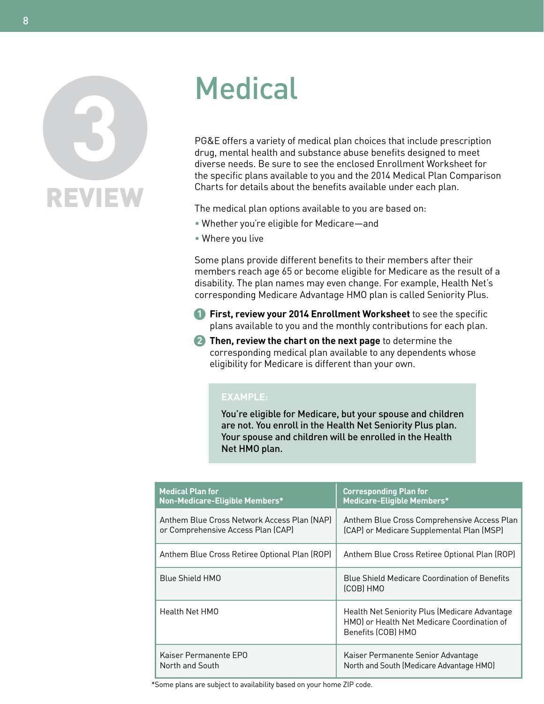# Medical<br>
PG&E offers a variety of<br>
drug, mental health and<br>
diverse needs. Be sure to<br>
the specific plans available REVIEW

PG&E offers a variety of medical plan choices that include prescription drug, mental health and substance abuse benefits designed to meet diverse needs. Be sure to see the enclosed Enrollment Worksheet for the specific plans available to you and the 2014 Medical Plan Comparison Charts for details about the benefits available under each plan.

The medical plan options available to you are based on:

- Whether you're eligible for Medicare—and
- Where you live

Some plans provide different benefits to their members after their members reach age 65 or become eligible for Medicare as the result of a disability. The plan names may even change. For example, Health Net's corresponding Medicare Advantage HMO plan is called Seniority Plus.

- **1** First, review your 2014 Enrollment Worksheet to see the specific plans available to you and the monthly contributions for each plan.
- **Then, review the chart on the next page** to determine the **2** corresponding medical plan available to any dependents whose eligibility for Medicare is different than your own.

#### **EXAMPLE:**

You're eligible for Medicare, but your spouse and children are not. You enroll in the Health Net Seniority Plus plan. Your spouse and children will be enrolled in the Health Net HMO plan.

| <b>Medical Plan for</b>                       | <b>Corresponding Plan for</b>                                                                                      |
|-----------------------------------------------|--------------------------------------------------------------------------------------------------------------------|
| Non-Medicare-Eligible Members*                | Medicare-Eligible Members*                                                                                         |
| Anthem Blue Cross Network Access Plan (NAP)   | Anthem Blue Cross Comprehensive Access Plan                                                                        |
| or Comprehensive Access Plan (CAP)            | (CAP) or Medicare Supplemental Plan (MSP)                                                                          |
| Anthem Blue Cross Retiree Optional Plan (ROP) | Anthem Blue Cross Retiree Optional Plan (ROP)                                                                      |
| Blue Shield HMO                               | <b>Blue Shield Medicare Coordination of Benefits</b><br>(COB) HMO                                                  |
| Health Net HMO                                | Health Net Seniority Plus (Medicare Advantage<br>HMO) or Health Net Medicare Coordination of<br>Benefits (COB) HMO |
| Kaiser Permanente EPO                         | Kaiser Permanente Senior Advantage                                                                                 |
| North and South                               | North and South (Medicare Advantage HMO)                                                                           |

\*Some plans are subject to availability based on your home ZIP code.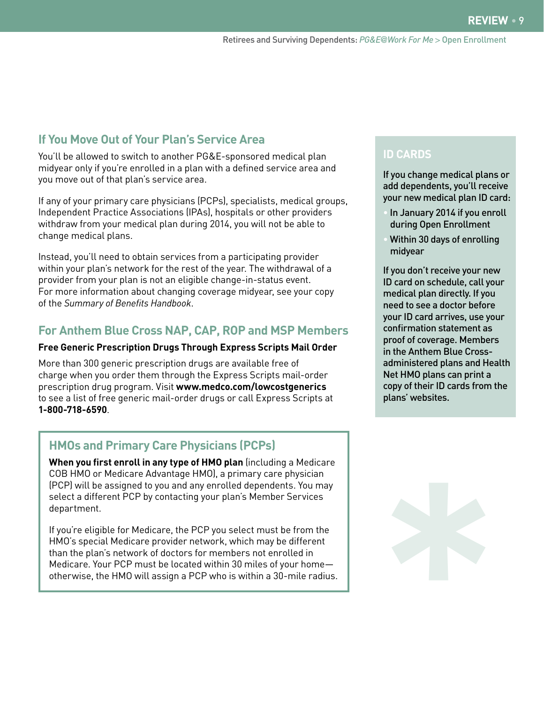# **If You Move Out of Your Plan's Service Area**

You'll be allowed to switch to another PG&E-sponsored medical plan midyear only if you're enrolled in a plan with a defined service area and you move out of that plan's service area.

If any of your primary care physicians (PCPs), specialists, medical groups, Independent Practice Associations (IPAs), hospitals or other providers withdraw from your medical plan during 2014, you will not be able to change medical plans.

Instead, you'll need to obtain services from a participating provider within your plan's network for the rest of the year. The withdrawal of a provider from your plan is not an eligible change-in-status event. For more information about changing coverage midyear, see your copy of the *Summary of Benefits Handbook*.

# **For Anthem Blue Cross NAP, CAP, ROP and MSP Members**

#### **Free Generic Prescription Drugs Through Express Scripts Mail Order**

More than 300 generic prescription drugs are available free of charge when you order them through the Express Scripts mail-order prescription drug program. Visit **www.medco.com/lowcostgenerics** to see a list of free generic mail-order drugs or call Express Scripts at **1-800-718-6590**.

# **HMOs and Primary Care Physicians (PCPs)**

**When you first enroll in any type of HMO plan** (including a Medicare COB HMO or Medicare Advantage HMO), a primary care physician (PCP) will be assigned to you and any enrolled dependents. You may select a different PCP by contacting your plan's Member Services department.

If you're eligible for Medicare, the PCP you select must be from the HMO's special Medicare provider network, which may be different than the plan's network of doctors for members not enrolled in Medicare. Your PCP must be located within 30 miles of your home otherwise, the HMO will assign a PCP who is within a 30-mile radius.

## **ID CARDS**

If you change medical plans or add dependents, you'll receive your new medical plan ID card:

- In January 2014 if you enroll during Open Enrollment
- Within 30 days of enrolling midyear

If you don't receive your new ID card on schedule, call your medical plan directly. If you need to see a doctor before your ID card arrives, use your confirmation statement as proof of coverage. Members in the Anthem Blue Crossadministered plans and Health Net HMO plans can print a copy of their ID cards from the plans' websites.

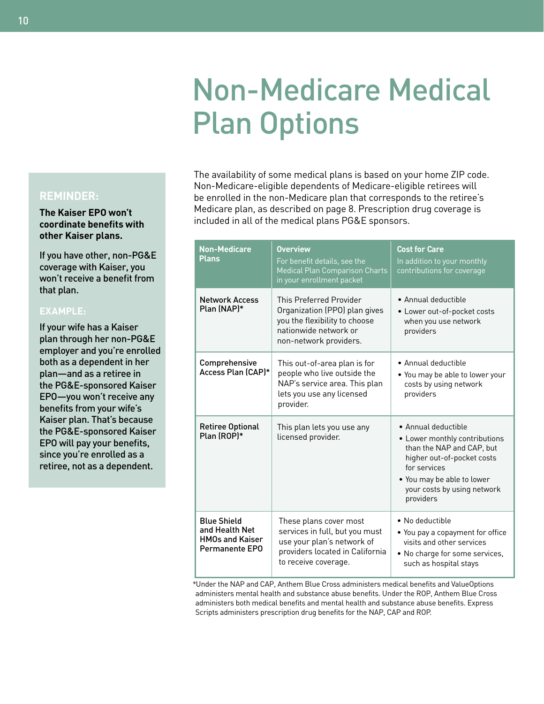# Non-Medicare Medical Plan Options

The availability of some medical plans is based on your home ZIP code. Non-Medicare-eligible dependents of Medicare-eligible retirees will be enrolled in the non-Medicare plan that corresponds to the retiree's Medicare plan, as described on page 8. Prescription drug coverage is included in all of the medical plans PG&E sponsors.

| <b>Non-Medicare</b><br><b>Plans</b>                                                     | <b>Overview</b><br>For benefit details, see the<br><b>Medical Plan Comparison Charts</b><br>in your enrollment packet                             | <b>Cost for Care</b><br>In addition to your monthly<br>contributions for coverage                                                                                                                         |
|-----------------------------------------------------------------------------------------|---------------------------------------------------------------------------------------------------------------------------------------------------|-----------------------------------------------------------------------------------------------------------------------------------------------------------------------------------------------------------|
| <b>Network Access</b><br>Plan (NAP)*                                                    | This Preferred Provider<br>Organization (PPO) plan gives<br>you the flexibility to choose<br>nationwide network or<br>non-network providers.      | • Annual deductible<br>• Lower out-of-pocket costs<br>when you use network<br>providers                                                                                                                   |
| Comprehensive<br>Access Plan (CAP)*                                                     | This out-of-area plan is for<br>people who live outside the<br>NAP's service area. This plan<br>lets you use any licensed<br>provider.            | • Annual deductible<br>• You may be able to lower your<br>costs by using network<br>providers                                                                                                             |
| <b>Retiree Optional</b><br>Plan (ROP)*                                                  | This plan lets you use any<br>licensed provider.                                                                                                  | • Annual deductible<br>• Lower monthly contributions<br>than the NAP and CAP, but<br>higher out-of-pocket costs<br>for services<br>• You may be able to lower<br>your costs by using network<br>providers |
| <b>Blue Shield</b><br>and Health Net<br><b>HMOs and Kaiser</b><br><b>Permanente EPO</b> | These plans cover most<br>services in full, but you must<br>use your plan's network of<br>providers located in California<br>to receive coverage. | • No deductible<br>• You pay a copayment for office<br>visits and other services<br>• No charge for some services,<br>such as hospital stays                                                              |

\*Under the NAP and CAP, Anthem Blue Cross administers medical benefits and ValueOptions administers mental health and substance abuse benefits. Under the ROP, Anthem Blue Cross administers both medical benefits and mental health and substance abuse benefits. Express Scripts administers prescription drug benefits for the NAP, CAP and ROP.

#### **REMINDER:**

**The Kaiser EPO won't coordinate benefits with other Kaiser plans.**

If you have other, non-PG&E coverage with Kaiser, you won't receive a benefit from that plan.

#### **EXAMPLE:**

If your wife has a Kaiser plan through her non-PG&E employer and you're enrolled both as a dependent in her plan—and as a retiree in the PG&E-sponsored Kaiser EPO—you won't receive any benefits from your wife's Kaiser plan. That's because the PG&E-sponsored Kaiser EPO will pay your benefits, since you're enrolled as a retiree, not as a dependent.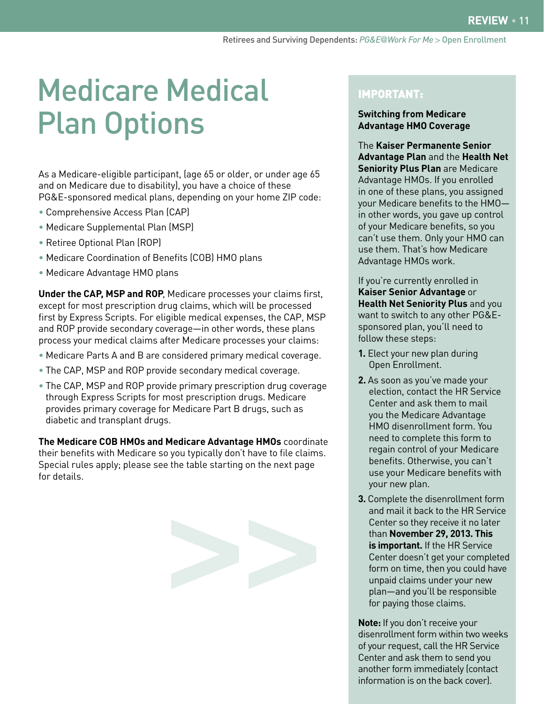# Medicare Medical Plan Options

As a Medicare-eligible participant, (age 65 or older, or under age 65 and on Medicare due to disability), you have a choice of these PG&E-sponsored medical plans, depending on your home ZIP code:

- Comprehensive Access Plan (CAP)
- Medicare Supplemental Plan (MSP)
- Retiree Optional Plan (ROP)
- Medicare Coordination of Benefits (COB) HMO plans
- Medicare Advantage HMO plans

**Under the CAP, MSP and ROP**, Medicare processes your claims first, except for most prescription drug claims, which will be processed first by Express Scripts. For eligible medical expenses, the CAP, MSP and ROP provide secondary coverage—in other words, these plans process your medical claims after Medicare processes your claims:

- Medicare Parts A and B are considered primary medical coverage.
- The CAP, MSP and ROP provide secondary medical coverage.
- The CAP, MSP and ROP provide primary prescription drug coverage through Express Scripts for most prescription drugs. Medicare provides primary coverage for Medicare Part B drugs, such as diabetic and transplant drugs.

**The Medicare COB HMOs and Medicare Advantage HMOs** coordinate their benefits with Medicare so you typically don't have to file claims. Special rules apply; please see the table starting on the next page for details.



## IMPORTANT:

#### **Switching from Medicare Advantage HMO Coverage**

The **Kaiser Permanente Senior Advantage Plan** and the **Health Net Seniority Plus Plan** are Medicare Advantage HMOs. If you enrolled in one of these plans, you assigned your Medicare benefits to the HMO in other words, you gave up control of your Medicare benefits, so you can't use them. Only your HMO can use them. That's how Medicare Advantage HMOs work.

If you're currently enrolled in **Kaiser Senior Advantage** or **Health Net Seniority Plus** and you want to switch to any other PG&Esponsored plan, you'll need to follow these steps:

- **1.** Elect your new plan during Open Enrollment.
- **2.** As soon as you've made your election, contact the HR Service Center and ask them to mail you the Medicare Advantage HMO disenrollment form. You need to complete this form to regain control of your Medicare benefits. Otherwise, you can't use your Medicare benefits with your new plan.
- **3.** Complete the disenrollment form and mail it back to the HR Service Center so they receive it no later than **November 29, 2013. This is important.** If the HR Service Center doesn't get your completed form on time, then you could have unpaid claims under your new plan—and you'll be responsible for paying those claims.

**Note:** If you don't receive your disenrollment form within two weeks of your request, call the HR Service Center and ask them to send you another form immediately (contact information is on the back cover).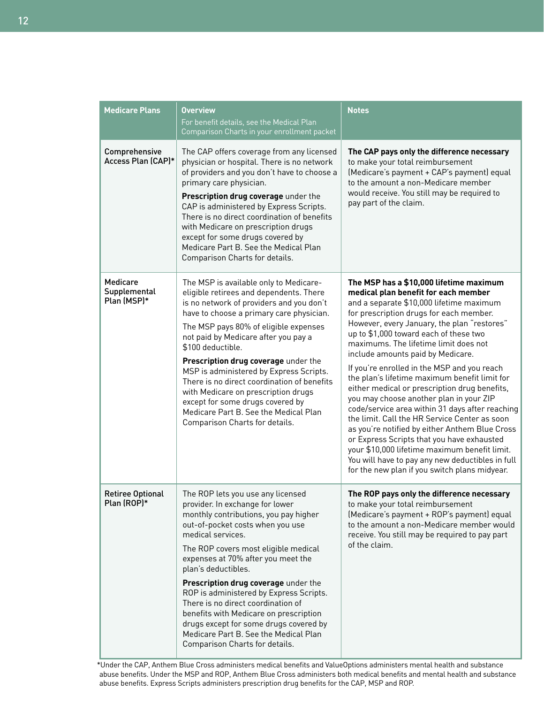| <b>Medicare Plans</b>                   | <b>Overview</b><br>For benefit details, see the Medical Plan<br>Comparison Charts in your enrollment packet                                                                                                                                                                                                                                                                                                                                                                                                                                                             | <b>Notes</b>                                                                                                                                                                                                                                                                                                                                                                                                                                                                                                                                                                                                                                                                                                                                                                                                                                                                                        |
|-----------------------------------------|-------------------------------------------------------------------------------------------------------------------------------------------------------------------------------------------------------------------------------------------------------------------------------------------------------------------------------------------------------------------------------------------------------------------------------------------------------------------------------------------------------------------------------------------------------------------------|-----------------------------------------------------------------------------------------------------------------------------------------------------------------------------------------------------------------------------------------------------------------------------------------------------------------------------------------------------------------------------------------------------------------------------------------------------------------------------------------------------------------------------------------------------------------------------------------------------------------------------------------------------------------------------------------------------------------------------------------------------------------------------------------------------------------------------------------------------------------------------------------------------|
| Comprehensive<br>Access Plan (CAP)*     | The CAP offers coverage from any licensed<br>physician or hospital. There is no network<br>of providers and you don't have to choose a<br>primary care physician.<br>Prescription drug coverage under the<br>CAP is administered by Express Scripts.<br>There is no direct coordination of benefits<br>with Medicare on prescription drugs<br>except for some drugs covered by<br>Medicare Part B. See the Medical Plan<br>Comparison Charts for details.                                                                                                               | The CAP pays only the difference necessary<br>to make your total reimbursement<br>(Medicare's payment + CAP's payment) equal<br>to the amount a non-Medicare member<br>would receive. You still may be required to<br>pay part of the claim.                                                                                                                                                                                                                                                                                                                                                                                                                                                                                                                                                                                                                                                        |
| Medicare<br>Supplemental<br>Plan (MSP)* | The MSP is available only to Medicare-<br>eligible retirees and dependents. There<br>is no network of providers and you don't<br>have to choose a primary care physician.<br>The MSP pays 80% of eligible expenses<br>not paid by Medicare after you pay a<br>\$100 deductible.<br>Prescription drug coverage under the<br>MSP is administered by Express Scripts.<br>There is no direct coordination of benefits<br>with Medicare on prescription drugs<br>except for some drugs covered by<br>Medicare Part B. See the Medical Plan<br>Comparison Charts for details. | The MSP has a \$10,000 lifetime maximum<br>medical plan benefit for each member<br>and a separate \$10,000 lifetime maximum<br>for prescription drugs for each member.<br>However, every January, the plan "restores"<br>up to \$1,000 toward each of these two<br>maximums. The lifetime limit does not<br>include amounts paid by Medicare.<br>If you're enrolled in the MSP and you reach<br>the plan's lifetime maximum benefit limit for<br>either medical or prescription drug benefits,<br>you may choose another plan in your ZIP<br>code/service area within 31 days after reaching<br>the limit. Call the HR Service Center as soon<br>as you're notified by either Anthem Blue Cross<br>or Express Scripts that you have exhausted<br>your \$10,000 lifetime maximum benefit limit.<br>You will have to pay any new deductibles in full<br>for the new plan if you switch plans midyear. |
| <b>Retiree Optional</b><br>Plan (ROP)*  | The ROP lets you use any licensed<br>provider. In exchange for lower<br>monthly contributions, you pay higher<br>out-of-pocket costs when you use<br>medical services.<br>The ROP covers most eligible medical<br>expenses at 70% after you meet the<br>plan's deductibles.<br>Prescription drug coverage under the<br>ROP is administered by Express Scripts.<br>There is no direct coordination of<br>benefits with Medicare on prescription<br>drugs except for some drugs covered by<br>Medicare Part B. See the Medical Plan<br>Comparison Charts for details.     | The ROP pays only the difference necessary<br>to make your total reimbursement<br>(Medicare's payment + ROP's payment) equal<br>to the amount a non-Medicare member would<br>receive. You still may be required to pay part<br>of the claim.                                                                                                                                                                                                                                                                                                                                                                                                                                                                                                                                                                                                                                                        |

\*Under the CAP, Anthem Blue Cross administers medical benefits and ValueOptions administers mental health and substance abuse benefits. Under the MSP and ROP, Anthem Blue Cross administers both medical benefits and mental health and substance abuse benefits. Express Scripts administers prescription drug benefits for the CAP, MSP and ROP.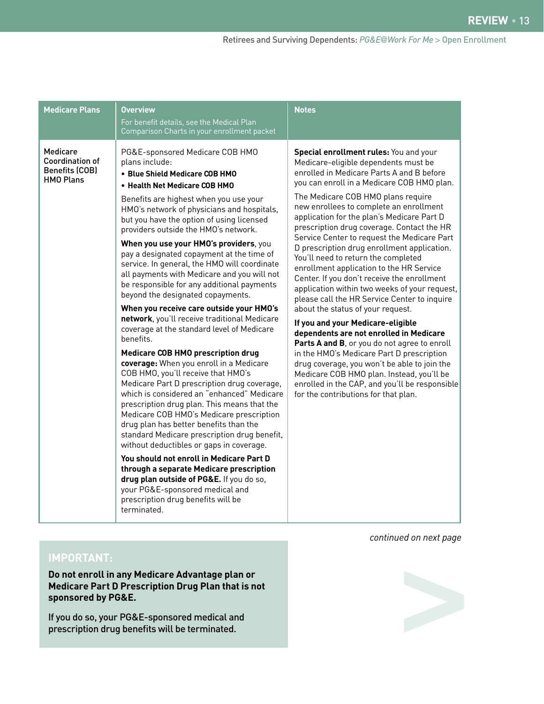| <b>Medicare Plans</b>                                                                  | <b>Overview</b><br>For benefit details, see the Medical Plan<br>Comparison Charts in your enrollment packet                                                                                                                                                                                                                                                                                                                                                                                                                                                                                                                                                                                                                                                                                                                                                                                                                                                                                                                                                                                                                                                                                                                                                                                                                                                                                                               | <b>Notes</b>                                                                                                                                                                                                                                                                                                                                                                                                                                                                                                                                                                                                                                                                                                                                                                                                                                                                                                                                                                                                                                                                                     |
|----------------------------------------------------------------------------------------|---------------------------------------------------------------------------------------------------------------------------------------------------------------------------------------------------------------------------------------------------------------------------------------------------------------------------------------------------------------------------------------------------------------------------------------------------------------------------------------------------------------------------------------------------------------------------------------------------------------------------------------------------------------------------------------------------------------------------------------------------------------------------------------------------------------------------------------------------------------------------------------------------------------------------------------------------------------------------------------------------------------------------------------------------------------------------------------------------------------------------------------------------------------------------------------------------------------------------------------------------------------------------------------------------------------------------------------------------------------------------------------------------------------------------|--------------------------------------------------------------------------------------------------------------------------------------------------------------------------------------------------------------------------------------------------------------------------------------------------------------------------------------------------------------------------------------------------------------------------------------------------------------------------------------------------------------------------------------------------------------------------------------------------------------------------------------------------------------------------------------------------------------------------------------------------------------------------------------------------------------------------------------------------------------------------------------------------------------------------------------------------------------------------------------------------------------------------------------------------------------------------------------------------|
| <b>Medicare</b><br><b>Coordination of</b><br><b>Benefits (COB)</b><br><b>HMO Plans</b> | PG&E-sponsored Medicare COB HMO<br>plans include:<br>• Blue Shield Medicare COB HMO<br>• Health Net Medicare COB HMO<br>Benefits are highest when you use your<br>HMO's network of physicians and hospitals,<br>but you have the option of using licensed<br>providers outside the HMO's network.<br>When you use your HMO's providers, you<br>pay a designated copayment at the time of<br>service. In general, the HMO will coordinate<br>all payments with Medicare and you will not<br>be responsible for any additional payments<br>beyond the designated copayments.<br>When you receive care outside your HMO's<br>network, you'll receive traditional Medicare<br>coverage at the standard level of Medicare<br>benefits.<br><b>Medicare COB HMO prescription drug</b><br>coverage: When you enroll in a Medicare<br>COB HMO, you'll receive that HMO's<br>Medicare Part D prescription drug coverage,<br>which is considered an "enhanced" Medicare<br>prescription drug plan. This means that the<br>Medicare COB HMO's Medicare prescription<br>drug plan has better benefits than the<br>standard Medicare prescription drug benefit,<br>without deductibles or gaps in coverage.<br>You should not enroll in Medicare Part D<br>through a separate Medicare prescription<br>drug plan outside of PG&E. If you do so,<br>your PG&E-sponsored medical and<br>prescription drug benefits will be<br>terminated. | Special enrollment rules: You and your<br>Medicare-eligible dependents must be<br>enrolled in Medicare Parts A and B before<br>you can enroll in a Medicare COB HMO plan.<br>The Medicare COB HMO plans require<br>new enrollees to complete an enrollment<br>application for the plan's Medicare Part D<br>prescription drug coverage. Contact the HR<br>Service Center to request the Medicare Part<br>D prescription drug enrollment application.<br>You'll need to return the completed<br>enrollment application to the HR Service<br>Center. If you don't receive the enrollment<br>application within two weeks of your request,<br>please call the HR Service Center to inquire<br>about the status of your request.<br>If you and your Medicare-eligible<br>dependents are not enrolled in Medicare<br>Parts A and B, or you do not agree to enroll<br>in the HMO's Medicare Part D prescription<br>drug coverage, you won't be able to join the<br>Medicare COB HMO plan. Instead, you'll be<br>enrolled in the CAP, and you'll be responsible<br>for the contributions for that plan. |

*continued on next page*

#### **IMPORTANT:**

**Do not enroll in any Medicare Advantage plan or Medicare Part D Prescription Drug Plan that is not sponsored by PG&E.** 

If you do so, your PG&E-sponsored medical and prescription drug benefits will be terminated.

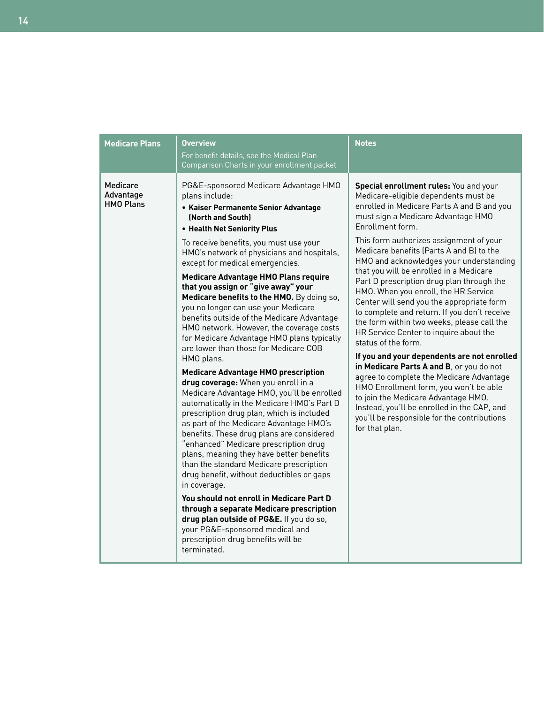| <b>Medicare Plans</b>                     | <b>Overview</b><br>For benefit details, see the Medical Plan<br>Comparison Charts in your enrollment packet                                                                                                                                                                                                                                                                                                                                                                                                                                                                                                                                                                                                                                                                                                                                                                                                                                                                                                                                                                                                                                                                                                                                                                                                                                                                                      | <b>Notes</b>                                                                                                                                                                                                                                                                                                                                                                                                                                                                                                                                                                                                                                                                                                                                                                                                                                                                                                                                                                                                 |
|-------------------------------------------|--------------------------------------------------------------------------------------------------------------------------------------------------------------------------------------------------------------------------------------------------------------------------------------------------------------------------------------------------------------------------------------------------------------------------------------------------------------------------------------------------------------------------------------------------------------------------------------------------------------------------------------------------------------------------------------------------------------------------------------------------------------------------------------------------------------------------------------------------------------------------------------------------------------------------------------------------------------------------------------------------------------------------------------------------------------------------------------------------------------------------------------------------------------------------------------------------------------------------------------------------------------------------------------------------------------------------------------------------------------------------------------------------|--------------------------------------------------------------------------------------------------------------------------------------------------------------------------------------------------------------------------------------------------------------------------------------------------------------------------------------------------------------------------------------------------------------------------------------------------------------------------------------------------------------------------------------------------------------------------------------------------------------------------------------------------------------------------------------------------------------------------------------------------------------------------------------------------------------------------------------------------------------------------------------------------------------------------------------------------------------------------------------------------------------|
| Medicare<br>Advantage<br><b>HMO Plans</b> | PG&E-sponsored Medicare Advantage HMO<br>plans include:<br>• Kaiser Permanente Senior Advantage<br>(North and South)<br>• Health Net Seniority Plus<br>To receive benefits, you must use your<br>HMO's network of physicians and hospitals,<br>except for medical emergencies.<br>Medicare Advantage HMO Plans require<br>that you assign or "give away" your<br>Medicare benefits to the HMO. By doing so,<br>you no longer can use your Medicare<br>benefits outside of the Medicare Advantage<br>HMO network. However, the coverage costs<br>for Medicare Advantage HMO plans typically<br>are lower than those for Medicare COB<br>HMO plans.<br><b>Medicare Advantage HMO prescription</b><br>drug coverage: When you enroll in a<br>Medicare Advantage HMO, you'll be enrolled<br>automatically in the Medicare HMO's Part D<br>prescription drug plan, which is included<br>as part of the Medicare Advantage HMO's<br>benefits. These drug plans are considered<br>"enhanced" Medicare prescription drug<br>plans, meaning they have better benefits<br>than the standard Medicare prescription<br>drug benefit, without deductibles or gaps<br>in coverage.<br>You should not enroll in Medicare Part D<br>through a separate Medicare prescription<br>drug plan outside of PG&E. If you do so,<br>your PG&E-sponsored medical and<br>prescription drug benefits will be<br>terminated. | Special enrollment rules: You and your<br>Medicare-eligible dependents must be<br>enrolled in Medicare Parts A and B and you<br>must sign a Medicare Advantage HMO<br>Enrollment form.<br>This form authorizes assignment of your<br>Medicare benefits (Parts A and B) to the<br>HMO and acknowledges your understanding<br>that you will be enrolled in a Medicare<br>Part D prescription drug plan through the<br>HMO. When you enroll, the HR Service<br>Center will send you the appropriate form<br>to complete and return. If you don't receive<br>the form within two weeks, please call the<br>HR Service Center to inquire about the<br>status of the form.<br>If you and your dependents are not enrolled<br>in Medicare Parts A and B, or you do not<br>agree to complete the Medicare Advantage<br>HMO Enrollment form, you won't be able<br>to join the Medicare Advantage HMO.<br>Instead, you'll be enrolled in the CAP, and<br>you'll be responsible for the contributions<br>for that plan. |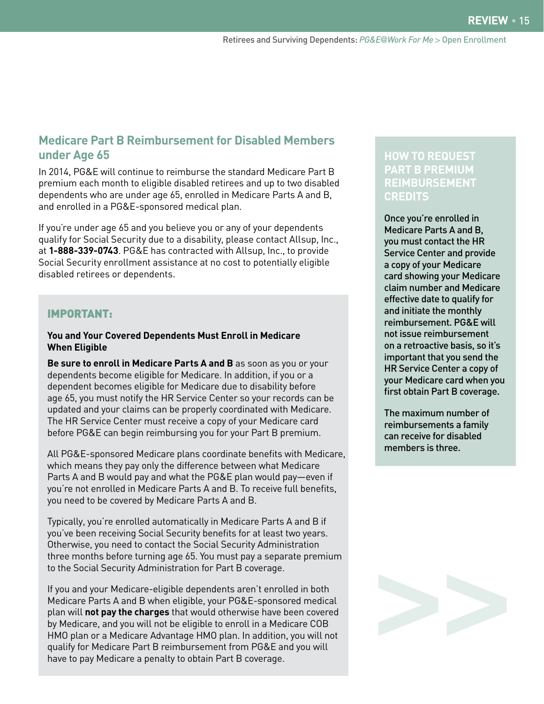# **Medicare Part B Reimbursement for Disabled Members under Age 65**

In 2014, PG&E will continue to reimburse the standard Medicare Part B premium each month to eligible disabled retirees and up to two disabled dependents who are under age 65, enrolled in Medicare Parts A and B, and enrolled in a PG&E-sponsored medical plan.

If you're under age 65 and you believe you or any of your dependents qualify for Social Security due to a disability, please contact Allsup, Inc., at **1-888-339-0743**. PG&E has contracted with Allsup, Inc., to provide Social Security enrollment assistance at no cost to potentially eligible disabled retirees or dependents.

#### IMPORTANT:

#### **You and Your Covered Dependents Must Enroll in Medicare When Eligible**

**Be sure to enroll in Medicare Parts A and B** as soon as you or your dependents become eligible for Medicare. In addition, if you or a dependent becomes eligible for Medicare due to disability before age 65, you must notify the HR Service Center so your records can be updated and your claims can be properly coordinated with Medicare. The HR Service Center must receive a copy of your Medicare card before PG&E can begin reimbursing you for your Part B premium.

All PG&E-sponsored Medicare plans coordinate benefits with Medicare, which means they pay only the difference between what Medicare Parts A and B would pay and what the PG&E plan would pay—even if you're not enrolled in Medicare Parts A and B. To receive full benefits, you need to be covered by Medicare Parts A and B.

Typically, you're enrolled automatically in Medicare Parts A and B if you've been receiving Social Security benefits for at least two years. Otherwise, you need to contact the Social Security Administration three months before turning age 65. You must pay a separate premium to the Social Security Administration for Part B coverage.

If you and your Medicare-eligible dependents aren't enrolled in both Medicare Parts A and B when eligible, your PG&E-sponsored medical plan will **not pay the charges** that would otherwise have been covered by Medicare, and you will not be eligible to enroll in a Medicare COB HMO plan or a Medicare Advantage HMO plan. In addition, you will not qualify for Medicare Part B reimbursement from PG&E and you will have to pay Medicare a penalty to obtain Part B coverage.

# **HOW TO REQUEST PART B PREMIUM REIMBURSEMENT CREDITS**

Once you're enrolled in Medicare Parts A and B, you must contact the HR Service Center and provide a copy of your Medicare card showing your Medicare claim number and Medicare effective date to qualify for and initiate the monthly reimbursement. PG&E will not issue reimbursement on a retroactive basis, so it's important that you send the HR Service Center a copy of your Medicare card when you first obtain Part B coverage.

The maximum number of reimbursements a family can receive for disabled members is three.

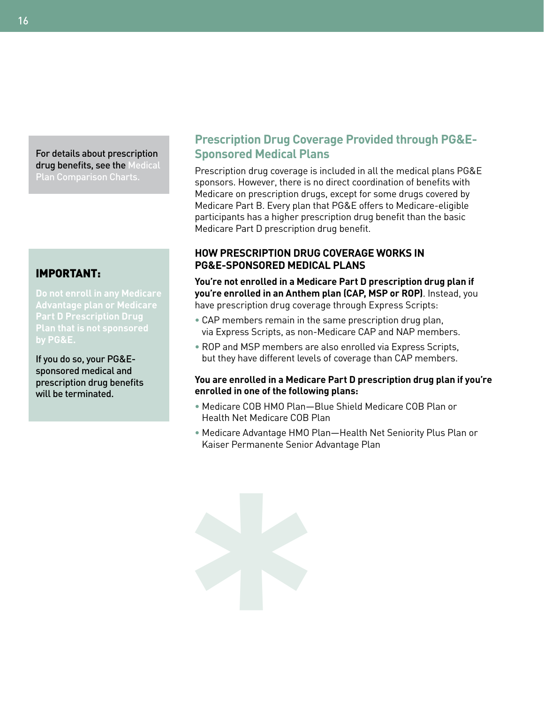For details about prescription drug benefits, see the Medical

#### IMPORTANT:

**Do not enroll in any Medicare** 

If you do so, your PG&Esponsored medical and prescription drug benefits will be terminated.

# **Prescription Drug Coverage Provided through PG&E-Sponsored Medical Plans**

Prescription drug coverage is included in all the medical plans PG&E sponsors. However, there is no direct coordination of benefits with Medicare on prescription drugs, except for some drugs covered by Medicare Part B. Every plan that PG&E offers to Medicare-eligible participants has a higher prescription drug benefit than the basic Medicare Part D prescription drug benefit.

#### **HOW PRESCRIPTION DRUG COVERAGE WORKS IN PG&E-SPONSORED MEDICAL PLANS**

**You're not enrolled in a Medicare Part D prescription drug plan if you're enrolled in an Anthem plan (CAP, MSP or ROP)**. Instead, you have prescription drug coverage through Express Scripts:

- **•** CAP members remain in the same prescription drug plan, via Express Scripts, as non-Medicare CAP and NAP members.
- **•** ROP and MSP members are also enrolled via Express Scripts, but they have different levels of coverage than CAP members.

#### **You are enrolled in a Medicare Part D prescription drug plan if you're enrolled in one of the following plans:**

- **•** Medicare COB HMO Plan—Blue Shield Medicare COB Plan or Health Net Medicare COB Plan
- **•** Medicare Advantage HMO Plan—Health Net Seniority Plus Plan or Kaiser Permanente Senior Advantage Plan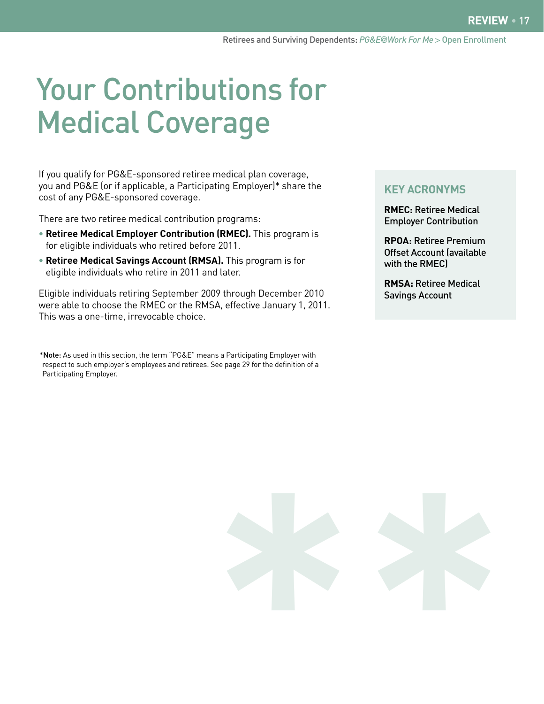# Your Contributions for Medical Coverage

If you qualify for PG&E-sponsored retiree medical plan coverage, you and PG&E (or if applicable, a Participating Employer)\* share the cost of any PG&E-sponsored coverage.

There are two retiree medical contribution programs:

- **• Retiree Medical Employer Contribution (RMEC).** This program is for eligible individuals who retired before 2011.
- **• Retiree Medical Savings Account (RMSA).** This program is for eligible individuals who retire in 2011 and later.

Eligible individuals retiring September 2009 through December 2010 were able to choose the RMEC or the RMSA, effective January 1, 2011. This was a one-time, irrevocable choice.

\*Note: As used in this section, the term "PG&E" means a Participating Employer with respect to such employer's employees and retirees. See page 29 for the definition of a Participating Employer.

#### **KEY ACRONYMS**

**RMEC:** Retiree Medical Employer Contribution

**RPOA:** Retiree Premium Offset Account (available with the RMEC)

**RMSA:** Retiree Medical Savings Account

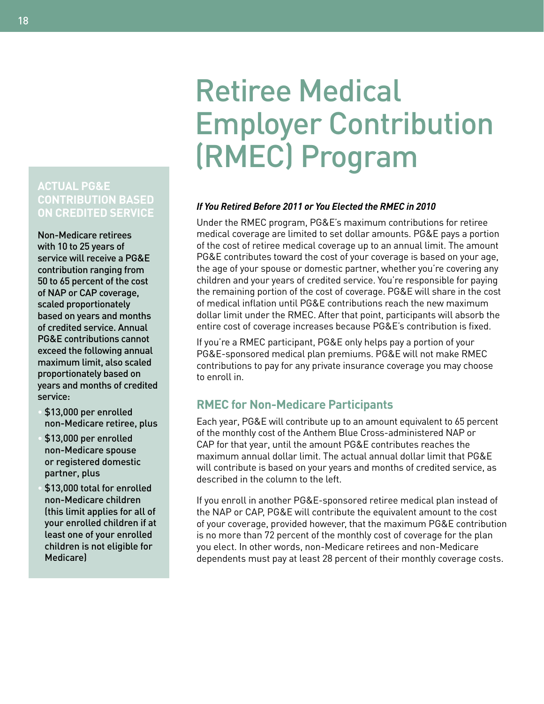# Retiree Medical Employer Contribution (RMEC) Program

# **ACTUAL PG&E CONTRIBUTION BASED ON CREDITED SERVICE**

Non-Medicare retirees with 10 to 25 years of service will receive a PG&E contribution ranging from 50 to 65 percent of the cost of NAP or CAP coverage, scaled proportionately based on years and months of credited service. Annual PG&E contributions cannot exceed the following annual maximum limit, also scaled proportionately based on years and months of credited service:

- \$13,000 per enrolled non-Medicare retiree, plus
- \$13,000 per enrolled non-Medicare spouse or registered domestic partner, plus
- \$13,000 total for enrolled non-Medicare children (this limit applies for all of your enrolled children if at least one of your enrolled children is not eligible for Medicare)

#### *If You Retired Before 2011 or You Elected the RMEC in 2010*

Under the RMEC program, PG&E's maximum contributions for retiree medical coverage are limited to set dollar amounts. PG&E pays a portion of the cost of retiree medical coverage up to an annual limit. The amount PG&E contributes toward the cost of your coverage is based on your age, the age of your spouse or domestic partner, whether you're covering any children and your years of credited service. You're responsible for paying the remaining portion of the cost of coverage. PG&E will share in the cost of medical inflation until PG&E contributions reach the new maximum dollar limit under the RMEC. After that point, participants will absorb the entire cost of coverage increases because PG&E's contribution is fixed.

If you're a RMEC participant, PG&E only helps pay a portion of your PG&E-sponsored medical plan premiums. PG&E will not make RMEC contributions to pay for any private insurance coverage you may choose to enroll in.

# **RMEC for Non-Medicare Participants**

Each year, PG&E will contribute up to an amount equivalent to 65 percent of the monthly cost of the Anthem Blue Cross-administered NAP or CAP for that year, until the amount PG&E contributes reaches the maximum annual dollar limit. The actual annual dollar limit that PG&E will contribute is based on your years and months of credited service, as described in the column to the left.

If you enroll in another PG&E-sponsored retiree medical plan instead of the NAP or CAP, PG&E will contribute the equivalent amount to the cost of your coverage, provided however, that the maximum PG&E contribution is no more than 72 percent of the monthly cost of coverage for the plan you elect. In other words, non-Medicare retirees and non-Medicare dependents must pay at least 28 percent of their monthly coverage costs.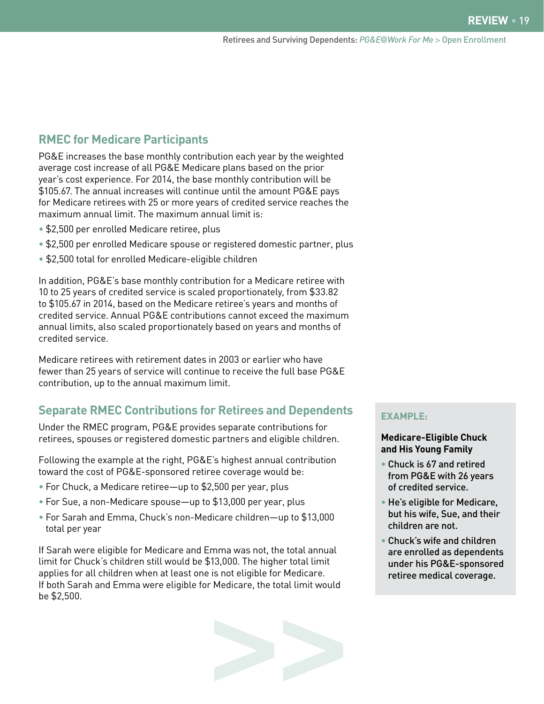# **RMEC for Medicare Participants**

PG&E increases the base monthly contribution each year by the weighted average cost increase of all PG&E Medicare plans based on the prior year's cost experience. For 2014, the base monthly contribution will be \$105.67. The annual increases will continue until the amount PG&E pays for Medicare retirees with 25 or more years of credited service reaches the maximum annual limit. The maximum annual limit is:

- \$2,500 per enrolled Medicare retiree, plus
- \$2,500 per enrolled Medicare spouse or registered domestic partner, plus
- \$2,500 total for enrolled Medicare-eligible children

In addition, PG&E's base monthly contribution for a Medicare retiree with 10 to 25 years of credited service is scaled proportionately, from \$33.82 to \$105.67 in 2014, based on the Medicare retiree's years and months of credited service. Annual PG&E contributions cannot exceed the maximum annual limits, also scaled proportionately based on years and months of credited service.

Medicare retirees with retirement dates in 2003 or earlier who have fewer than 25 years of service will continue to receive the full base PG&E contribution, up to the annual maximum limit.

## **Separate RMEC Contributions for Retirees and Dependents**

Under the RMEC program, PG&E provides separate contributions for retirees, spouses or registered domestic partners and eligible children.

Following the example at the right, PG&E's highest annual contribution toward the cost of PG&E-sponsored retiree coverage would be:

- For Chuck, a Medicare retiree—up to \$2,500 per year, plus
- For Sue, a non-Medicare spouse—up to \$13,000 per year, plus
- For Sarah and Emma, Chuck's non-Medicare children—up to \$13,000 total per year

If Sarah were eligible for Medicare and Emma was not, the total annual limit for Chuck's children still would be \$13,000. The higher total limit applies for all children when at least one is not eligible for Medicare. If both Sarah and Emma were eligible for Medicare, the total limit would be \$2,500.



#### **EXAMPLE:**

#### **Medicare-Eligible Chuck and His Young Family**

- Chuck is 67 and retired from PG&E with 26 years of credited service.
- He's eligible for Medicare, but his wife, Sue, and their children are not.
- Chuck's wife and children are enrolled as dependents under his PG&E-sponsored retiree medical coverage.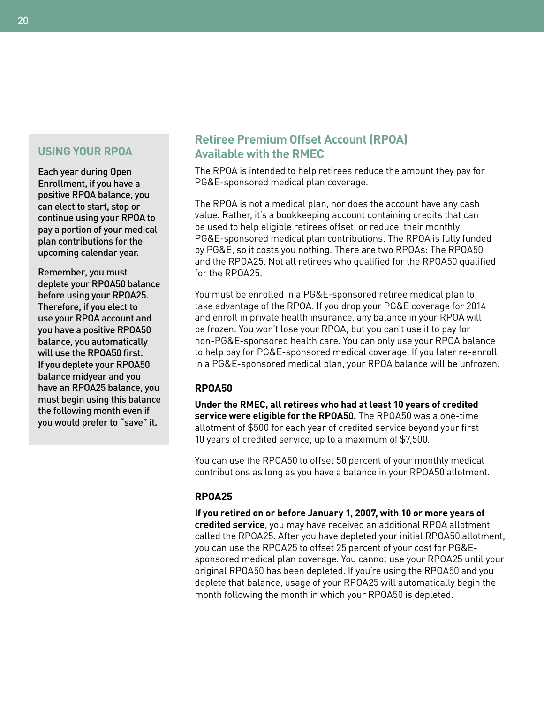#### **USING YOUR RPOA**

Each year during Open Enrollment, if you have a positive RPOA balance, you can elect to start, stop or continue using your RPOA to pay a portion of your medical plan contributions for the upcoming calendar year.

Remember, you must deplete your RPOA50 balance before using your RPOA25. Therefore, if you elect to use your RPOA account and you have a positive RPOA50 balance, you automatically will use the RPOA50 first. If you deplete your RPOA50 balance midyear and you have an RPOA25 balance, you must begin using this balance the following month even if you would prefer to "save" it.

# **Retiree Premium Offset Account (RPOA) Available with the RMEC**

The RPOA is intended to help retirees reduce the amount they pay for PG&E-sponsored medical plan coverage.

The RPOA is not a medical plan, nor does the account have any cash value. Rather, it's a bookkeeping account containing credits that can be used to help eligible retirees offset, or reduce, their monthly PG&E-sponsored medical plan contributions. The RPOA is fully funded by PG&E, so it costs you nothing. There are two RPOAs: The RPOA50 and the RPOA25. Not all retirees who qualified for the RPOA50 qualified for the RPOA25.

You must be enrolled in a PG&E-sponsored retiree medical plan to take advantage of the RPOA. If you drop your PG&E coverage for 2014 and enroll in private health insurance, any balance in your RPOA will be frozen. You won't lose your RPOA, but you can't use it to pay for non-PG&E-sponsored health care. You can only use your RPOA balance to help pay for PG&E-sponsored medical coverage. If you later re-enroll in a PG&E-sponsored medical plan, your RPOA balance will be unfrozen.

#### **RPOA50**

**Under the RMEC, all retirees who had at least 10 years of credited service were eligible for the RPOA50.** The RPOA50 was a one-time allotment of \$500 for each year of credited service beyond your first 10 years of credited service, up to a maximum of \$7,500.

You can use the RPOA50 to offset 50 percent of your monthly medical contributions as long as you have a balance in your RPOA50 allotment.

#### **RPOA25**

**If you retired on or before January 1, 2007, with 10 or more years of credited service**, you may have received an additional RPOA allotment called the RPOA25. After you have depleted your initial RPOA50 allotment, you can use the RPOA25 to offset 25 percent of your cost for PG&Esponsored medical plan coverage. You cannot use your RPOA25 until your original RPOA50 has been depleted. If you're using the RPOA50 and you deplete that balance, usage of your RPOA25 will automatically begin the month following the month in which your RPOA50 is depleted.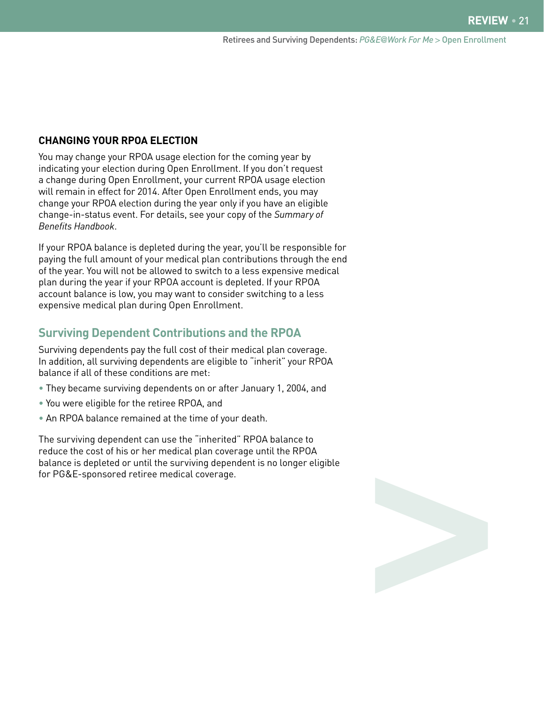#### **CHANGING YOUR RPOA ELECTION**

You may change your RPOA usage election for the coming year by indicating your election during Open Enrollment. If you don't request a change during Open Enrollment, your current RPOA usage election will remain in effect for 2014. After Open Enrollment ends, you may change your RPOA election during the year only if you have an eligible change-in-status event. For details, see your copy of the *Summary of Benefits Handbook*.

If your RPOA balance is depleted during the year, you'll be responsible for paying the full amount of your medical plan contributions through the end of the year. You will not be allowed to switch to a less expensive medical plan during the year if your RPOA account is depleted. If your RPOA account balance is low, you may want to consider switching to a less expensive medical plan during Open Enrollment.

#### **Surviving Dependent Contributions and the RPOA**

Surviving dependents pay the full cost of their medical plan coverage. In addition, all surviving dependents are eligible to "inherit" your RPOA balance if all of these conditions are met:

- They became surviving dependents on or after January 1, 2004, and
- You were eligible for the retiree RPOA, and
- An RPOA balance remained at the time of your death.

The surviving dependent can use the "inherited" RPOA balance to reduce the cost of his or her medical plan coverage until the RPOA balance is depleted or until the surviving dependent is no longer eligible for PG&E-sponsored retiree medical coverage.

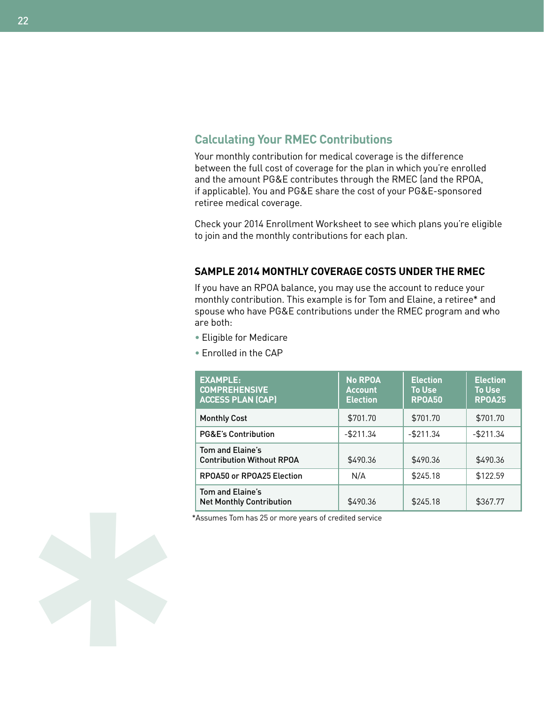# **Calculating Your RMEC Contributions**

Your monthly contribution for medical coverage is the difference between the full cost of coverage for the plan in which you're enrolled and the amount PG&E contributes through the RMEC (and the RPOA, if applicable). You and PG&E share the cost of your PG&E-sponsored retiree medical coverage.

Check your 2014 Enrollment Worksheet to see which plans you're eligible to join and the monthly contributions for each plan.

#### **SAMPLE 2014 MONTHLY COVERAGE COSTS UNDER THE RMEC**

If you have an RPOA balance, you may use the account to reduce your monthly contribution. This example is for Tom and Elaine, a retiree\* and spouse who have PG&E contributions under the RMEC program and who are both:

- Eligible for Medicare
- Enrolled in the CAP

| <b>EXAMPLE:</b><br><b>COMPREHENSIVE</b><br><b>ACCESS PLAN (CAP)</b> | <b>No RPOA</b><br><b>Account</b><br><b>Election</b> | <b>Election</b><br><b>To Use</b><br><b>RPOA50</b> | <b>Election</b><br><b>To Use</b><br><b>RPOA25</b> |
|---------------------------------------------------------------------|-----------------------------------------------------|---------------------------------------------------|---------------------------------------------------|
| <b>Monthly Cost</b>                                                 | \$701.70                                            | \$701.70                                          | \$701.70                                          |
| <b>PG&amp;E's Contribution</b>                                      | $-$ \$211.34                                        | $-$ \$211.34                                      | $-$ \$211.34                                      |
| Tom and Elaine's<br><b>Contribution Without RPOA</b>                | \$490.36                                            | \$490.36                                          | \$490.36                                          |
| RP0A50 or RP0A25 Election                                           | N/A                                                 | \$245.18                                          | \$122.59                                          |
| Tom and Elaine's<br><b>Net Monthly Contribution</b>                 | \$490.36                                            | \$245.18                                          | \$367.77                                          |

\*Assumes Tom has 25 or more years of credited service

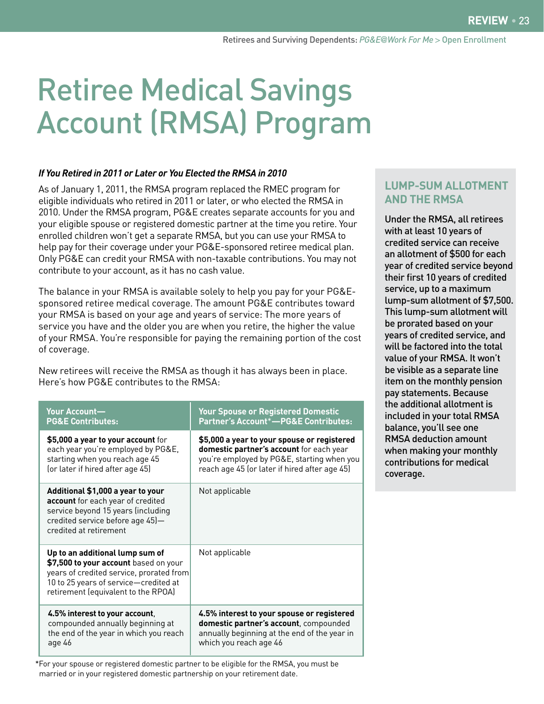# Retiree Medical Savings Account (RMSA) Program

#### *If You Retired in 2011 or Later or You Elected the RMSA in 2010*

As of January 1, 2011, the RMSA program replaced the RMEC program for eligible individuals who retired in 2011 or later, or who elected the RMSA in 2010. Under the RMSA program, PG&E creates separate accounts for you and your eligible spouse or registered domestic partner at the time you retire. Your enrolled children won't get a separate RMSA, but you can use your RMSA to help pay for their coverage under your PG&E-sponsored retiree medical plan. Only PG&E can credit your RMSA with non-taxable contributions. You may not contribute to your account, as it has no cash value.

The balance in your RMSA is available solely to help you pay for your PG&Esponsored retiree medical coverage. The amount PG&E contributes toward your RMSA is based on your age and years of service: The more years of service you have and the older you are when you retire, the higher the value of your RMSA. You're responsible for paying the remaining portion of the cost of coverage.

New retirees will receive the RMSA as though it has always been in place. Here's how PG&E contributes to the RMSA:

| Your Account-                                                                                                                                                                                        | <b>Your Spouse or Registered Domestic</b>     |
|------------------------------------------------------------------------------------------------------------------------------------------------------------------------------------------------------|-----------------------------------------------|
| <b>PG&amp;E Contributes:</b>                                                                                                                                                                         | Partner's Account*-PG&E Contributes:          |
| \$5,000 a year to your account for                                                                                                                                                                   | \$5,000 a year to your spouse or registered   |
| each year you're employed by PG&E,                                                                                                                                                                   | domestic partner's account for each year      |
| starting when you reach age 45                                                                                                                                                                       | you're employed by PG&E, starting when you    |
| (or later if hired after age 45)                                                                                                                                                                     | reach age 45 (or later if hired after age 45) |
| Additional \$1,000 a year to your<br>account for each year of credited<br>service beyond 15 years (including<br>credited service before age 45)-<br>credited at retirement                           | Not applicable                                |
| Up to an additional lump sum of<br>\$7,500 to your account based on your<br>years of credited service, prorated from<br>10 to 25 years of service-credited at<br>retirement (equivalent to the RPOA) | Not applicable                                |
| 4.5% interest to your account,                                                                                                                                                                       | 4.5% interest to your spouse or registered    |
| compounded annually beginning at                                                                                                                                                                     | domestic partner's account, compounded        |
| the end of the year in which you reach                                                                                                                                                               | annually beginning at the end of the year in  |
| age 46                                                                                                                                                                                               | which you reach age 46                        |

#### \*For your spouse or registered domestic partner to be eligible for the RMSA, you must be married or in your registered domestic partnership on your retirement date.

#### **LUMP-SUM ALLOTMENT AND THE RMSA**

Under the RMSA, all retirees with at least 10 years of credited service can receive an allotment of \$500 for each year of credited service beyond their first 10 years of credited service, up to a maximum lump-sum allotment of \$7,500. This lump-sum allotment will be prorated based on your years of credited service, and will be factored into the total value of your RMSA. It won't be visible as a separate line item on the monthly pension pay statements. Because the additional allotment is included in your total RMSA balance, you'll see one RMSA deduction amount when making your monthly contributions for medical coverage.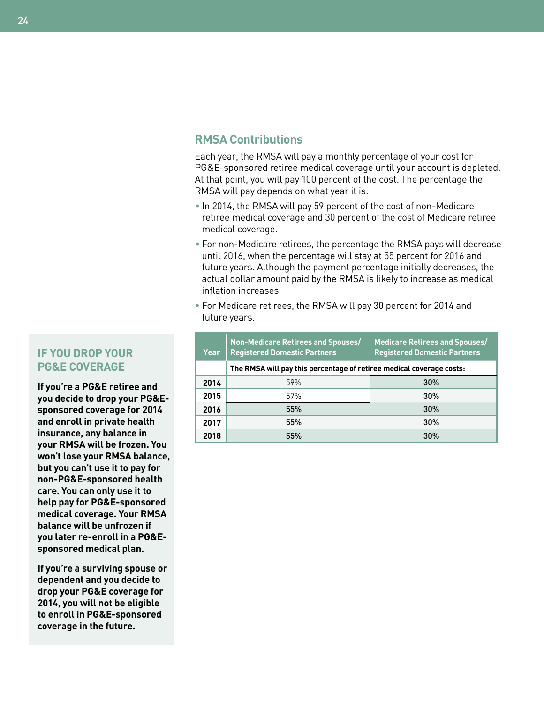## **RMSA Contributions**

Each year, the RMSA will pay a monthly percentage of your cost for PG&E-sponsored retiree medical coverage until your account is depleted. At that point, you will pay 100 percent of the cost. The percentage the RMSA will pay depends on what year it is.

- In 2014, the RMSA will pay 59 percent of the cost of non-Medicare retiree medical coverage and 30 percent of the cost of Medicare retiree medical coverage.
- For non-Medicare retirees, the percentage the RMSA pays will decrease until 2016, when the percentage will stay at 55 percent for 2016 and future years. Although the payment percentage initially decreases, the actual dollar amount paid by the RMSA is likely to increase as medical inflation increases.
- For Medicare retirees, the RMSA will pay 30 percent for 2014 and future years.

| <b>Year</b> | Non-Medicare Retirees and Spouses/<br><b>Registered Domestic Partners</b> | <b>Medicare Retirees and Spouses/</b><br><b>Registered Domestic Partners</b> |  |
|-------------|---------------------------------------------------------------------------|------------------------------------------------------------------------------|--|
|             | The RMSA will pay this percentage of retiree medical coverage costs:      |                                                                              |  |
| 2014        | 59%                                                                       | 30%                                                                          |  |
| 2015        | 57%                                                                       | 30%                                                                          |  |
| 2016        | 55%                                                                       | 30%                                                                          |  |
| 2017        | 55%                                                                       | 30%                                                                          |  |
| 2018        | 55%                                                                       | 30%                                                                          |  |

# **IF YOU DROP YOUR PG&E COVERAGE**

**If you're a PG&E retiree and you decide to drop your PG&Esponsored coverage for 2014 and enroll in private health insurance, any balance in your RMSA will be frozen. You won't lose your RMSA balance, but you can't use it to pay for non-PG&E-sponsored health care. You can only use it to help pay for PG&E-sponsored medical coverage. Your RMSA balance will be unfrozen if you later re-enroll in a PG&Esponsored medical plan.**

**If you're a surviving spouse or dependent and you decide to drop your PG&E coverage for 2014, you will not be eligible to enroll in PG&E-sponsored coverage in the future.**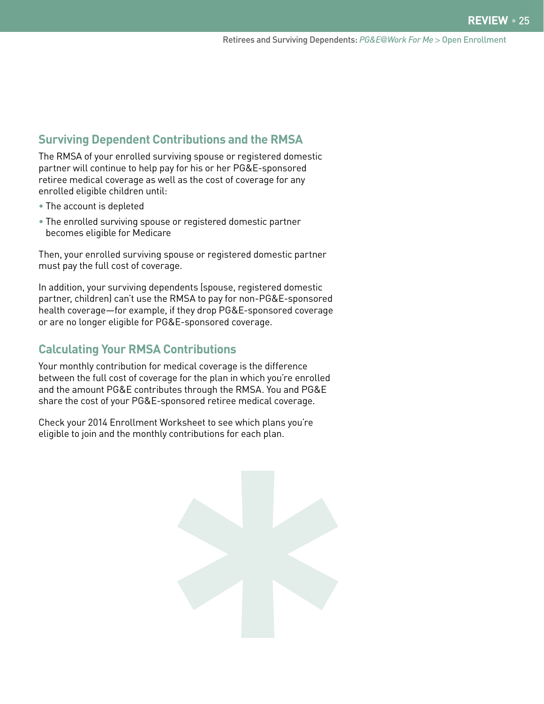## **Surviving Dependent Contributions and the RMSA**

The RMSA of your enrolled surviving spouse or registered domestic partner will continue to help pay for his or her PG&E-sponsored retiree medical coverage as well as the cost of coverage for any enrolled eligible children until:

- The account is depleted
- The enrolled surviving spouse or registered domestic partner becomes eligible for Medicare

Then, your enrolled surviving spouse or registered domestic partner must pay the full cost of coverage.

In addition, your surviving dependents (spouse, registered domestic partner, children) can't use the RMSA to pay for non-PG&E-sponsored health coverage—for example, if they drop PG&E-sponsored coverage or are no longer eligible for PG&E-sponsored coverage.

#### **Calculating Your RMSA Contributions**

Your monthly contribution for medical coverage is the difference between the full cost of coverage for the plan in which you're enrolled and the amount PG&E contributes through the RMSA. You and PG&E share the cost of your PG&E-sponsored retiree medical coverage.

Check your 2014 Enrollment Worksheet to see which plans you're eligible to join and the monthly contributions for each plan.

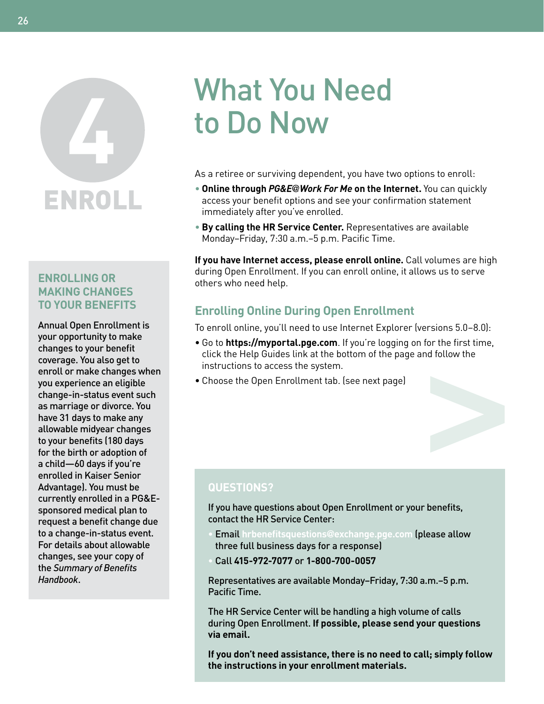# **4** ENROLL

# **ENROLLING OR MAKING CHANGES TO YOUR BENEFITS**

Annual Open Enrollment is your opportunity to make changes to your benefit coverage. You also get to enroll or make changes when you experience an eligible change-in-status event such as marriage or divorce. You have 31 days to make any allowable midyear changes to your benefits (180 days for the birth or adoption of a child—60 days if you're enrolled in Kaiser Senior Advantage). You must be currently enrolled in a PG&Esponsored medical plan to request a benefit change due to a change-in-status event. For details about allowable changes, see your copy of the *Summary of Benefits Handbook*.

# What You Need to Do Now

As a retiree or surviving dependent, you have two options to enroll:

- **Online through** *PG&E@Work For Me* **on the Internet.** You can quickly access your benefit options and see your confirmation statement immediately after you've enrolled.
- **By calling the HR Service Center.** Representatives are available Monday–Friday, 7:30 a.m.–5 p.m. Pacific Time.

**If you have Internet access, please enroll online.** Call volumes are high during Open Enrollment. If you can enroll online, it allows us to serve others who need help.

# **Enrolling Online During Open Enrollment**

To enroll online, you'll need to use Internet Explorer (versions 5.0–8.0):

- Go to **https://myportal.pge.com**. If you're logging on for the first time, click the Help Guides link at the bottom of the page and follow the instructions to access the system. • Go to **https://myportal.pge.com**. If you're logging on for the first time, click the Help Guides link at the bottom of the page and follow the instructions to access the system.<br>
• Choose the Open Enrollment tab. (see ne
- 

# **QUESTIONS?**

If you have questions about Open Enrollment or your benefits, contact the HR Service Center:

- **Email hrbenefitsquestions@exchange.pge.com (please allow** three full business days for a response)
- • Call **415-972-7077** or **1-800-700-0057**

Representatives are available Monday–Friday, 7:30 a.m.–5 p.m. Pacific Time.

The HR Service Center will be handling a high volume of calls during Open Enrollment. **If possible, please send your questions via email.** 

**If you don't need assistance, there is no need to call; simply follow the instructions in your enrollment materials.**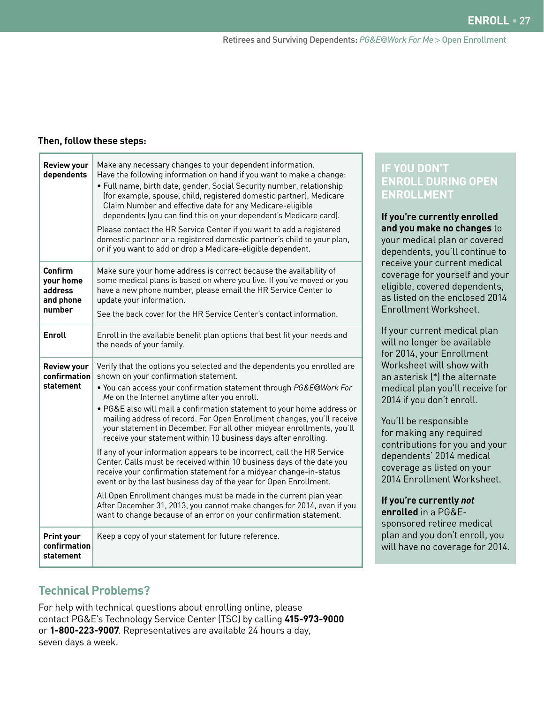#### **Then, follow these steps:**

| <b>Review your</b><br>dependents                       | Make any necessary changes to your dependent information.<br>Have the following information on hand if you want to make a change:<br>· Full name, birth date, gender, Social Security number, relationship<br>(for example, spouse, child, registered domestic partner), Medicare<br>Claim Number and effective date for any Medicare-eligible<br>dependents (you can find this on your dependent's Medicare card).<br>Please contact the HR Service Center if you want to add a registered<br>domestic partner or a registered domestic partner's child to your plan,<br>or if you want to add or drop a Medicare-eligible dependent.                                                                                                                                                                                                                                                                                                                                                                                                                         |
|--------------------------------------------------------|----------------------------------------------------------------------------------------------------------------------------------------------------------------------------------------------------------------------------------------------------------------------------------------------------------------------------------------------------------------------------------------------------------------------------------------------------------------------------------------------------------------------------------------------------------------------------------------------------------------------------------------------------------------------------------------------------------------------------------------------------------------------------------------------------------------------------------------------------------------------------------------------------------------------------------------------------------------------------------------------------------------------------------------------------------------|
| Confirm<br>your home<br>address<br>and phone<br>number | Make sure your home address is correct because the availability of<br>some medical plans is based on where you live. If you've moved or you<br>have a new phone number, please email the HR Service Center to<br>update your information.<br>See the back cover for the HR Service Center's contact information.                                                                                                                                                                                                                                                                                                                                                                                                                                                                                                                                                                                                                                                                                                                                               |
| <b>Enroll</b>                                          | Enroll in the available benefit plan options that best fit your needs and<br>the needs of your family.                                                                                                                                                                                                                                                                                                                                                                                                                                                                                                                                                                                                                                                                                                                                                                                                                                                                                                                                                         |
| <b>Review your</b><br>confirmation<br>statement        | Verify that the options you selected and the dependents you enrolled are<br>shown on your confirmation statement.<br>. You can access your confirmation statement through PG&E@Work For<br>Me on the Internet anytime after you enroll.<br>. PG&E also will mail a confirmation statement to your home address or<br>mailing address of record. For Open Enrollment changes, you'll receive<br>your statement in December. For all other midyear enrollments, you'll<br>receive your statement within 10 business days after enrolling.<br>If any of your information appears to be incorrect, call the HR Service<br>Center. Calls must be received within 10 business days of the date you<br>receive your confirmation statement for a midyear change-in-status<br>event or by the last business day of the year for Open Enrollment.<br>All Open Enrollment changes must be made in the current plan year.<br>After December 31, 2013, you cannot make changes for 2014, even if you<br>want to change because of an error on your confirmation statement. |
| <b>Print your</b><br>confirmation<br>statement         | Keep a copy of your statement for future reference.                                                                                                                                                                                                                                                                                                                                                                                                                                                                                                                                                                                                                                                                                                                                                                                                                                                                                                                                                                                                            |

## **IF YOU DON'T ENROLL DURING OPEN ENROLLMENT**

**If you're currently enrolled and you make no changes** to your medical plan or covered dependents, you'll continue to receive your current medical coverage for yourself and your eligible, covered dependents, as listed on the enclosed 2014 Enrollment Worksheet.

If your current medical plan will no longer be available for 2014, your Enrollment Worksheet will show with an asterisk (\*) the alternate medical plan you'll receive for 2014 if you don't enroll.

You'll be responsible for making any required contributions for you and your dependents' 2014 medical coverage as listed on your 2014 Enrollment Worksheet.

#### **If you're currently** *not*

**enrolled** in a PG&Esponsored retiree medical plan and you don't enroll, you will have no coverage for 2014.

# **Technical Problems?**

For help with technical questions about enrolling online, please contact PG&E's Technology Service Center (TSC) by calling **415-973-9000** or **1-800-223-9007**. Representatives are available 24 hours a day, seven days a week.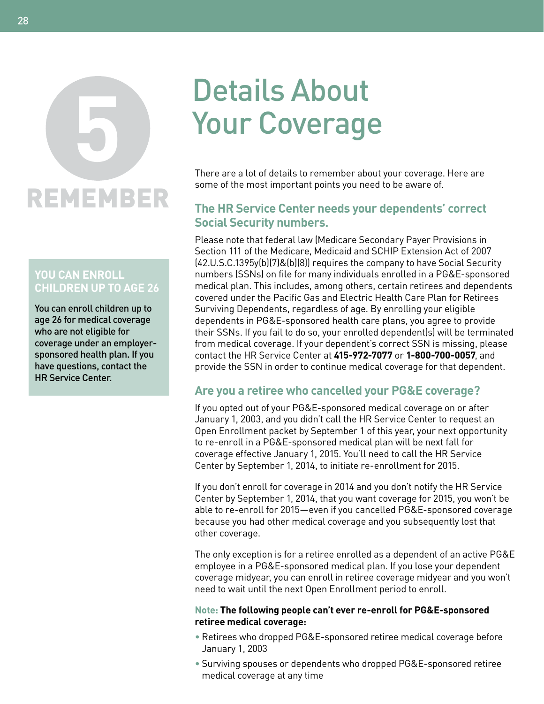# **5** REMEMBER

# **YOU CAN ENROLL CHILDREN UP TO AGE 26**

You can enroll children up to age 26 for medical coverage who are not eligible for coverage under an employersponsored health plan. If you have questions, contact the HR Service Center.

# Details About Your Coverage

There are a lot of details to remember about your coverage. Here are some of the most important points you need to be aware of.

# **The HR Service Center needs your dependents' correct Social Security numbers.**

Please note that federal law (Medicare Secondary Payer Provisions in Section 111 of the Medicare, Medicaid and SCHIP Extension Act of 2007 (42.U.S.C.1395y(b)(7)&(b)(8)) requires the company to have Social Security numbers (SSNs) on file for many individuals enrolled in a PG&E-sponsored medical plan. This includes, among others, certain retirees and dependents covered under the Pacific Gas and Electric Health Care Plan for Retirees Surviving Dependents, regardless of age. By enrolling your eligible dependents in PG&E-sponsored health care plans, you agree to provide their SSNs. If you fail to do so, your enrolled dependent(s) will be terminated from medical coverage. If your dependent's correct SSN is missing, please contact the HR Service Center at **415-972-7077** or **1-800-700-0057**, and provide the SSN in order to continue medical coverage for that dependent.

# **Are you a retiree who cancelled your PG&E coverage?**

If you opted out of your PG&E-sponsored medical coverage on or after January 1, 2003, and you didn't call the HR Service Center to request an Open Enrollment packet by September 1 of this year, your next opportunity to re-enroll in a PG&E-sponsored medical plan will be next fall for coverage effective January 1, 2015. You'll need to call the HR Service Center by September 1, 2014, to initiate re-enrollment for 2015.

If you don't enroll for coverage in 2014 and you don't notify the HR Service Center by September 1, 2014, that you want coverage for 2015, you won't be able to re-enroll for 2015—even if you cancelled PG&E-sponsored coverage because you had other medical coverage and you subsequently lost that other coverage.

The only exception is for a retiree enrolled as a dependent of an active PG&E employee in a PG&E-sponsored medical plan. If you lose your dependent coverage midyear, you can enroll in retiree coverage midyear and you won't need to wait until the next Open Enrollment period to enroll.

#### **Note: The following people can't ever re-enroll for PG&E-sponsored retiree medical coverage:**

- Retirees who dropped PG&E-sponsored retiree medical coverage before January 1, 2003
- Surviving spouses or dependents who dropped PG&E-sponsored retiree medical coverage at any time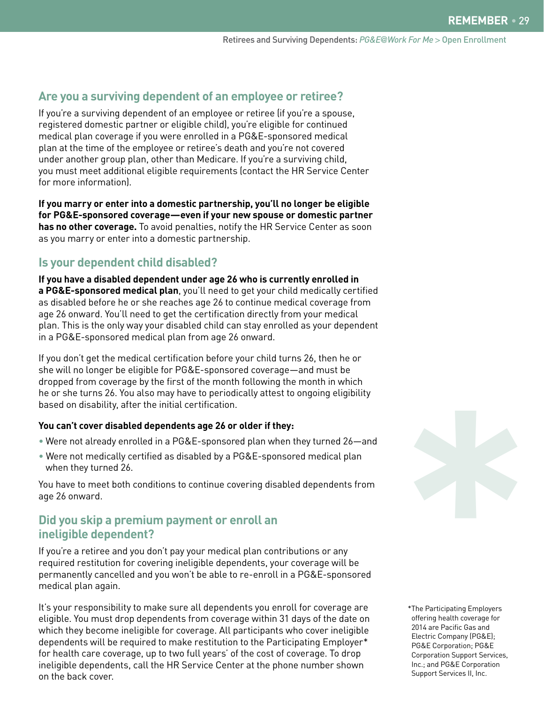## **Are you a surviving dependent of an employee or retiree?**

If you're a surviving dependent of an employee or retiree (if you're a spouse, registered domestic partner or eligible child), you're eligible for continued medical plan coverage if you were enrolled in a PG&E-sponsored medical plan at the time of the employee or retiree's death and you're not covered under another group plan, other than Medicare. If you're a surviving child, you must meet additional eligible requirements (contact the HR Service Center for more information).

**If you marry or enter into a domestic partnership, you'll no longer be eligible for PG&E-sponsored coverage—even if your new spouse or domestic partner has no other coverage.** To avoid penalties, notify the HR Service Center as soon as you marry or enter into a domestic partnership.

## **Is your dependent child disabled?**

**If you have a disabled dependent under age 26 who is currently enrolled in a PG&E-sponsored medical plan**, you'll need to get your child medically certified as disabled before he or she reaches age 26 to continue medical coverage from age 26 onward. You'll need to get the certification directly from your medical plan. This is the only way your disabled child can stay enrolled as your dependent in a PG&E-sponsored medical plan from age 26 onward.

If you don't get the medical certification before your child turns 26, then he or she will no longer be eligible for PG&E-sponsored coverage—and must be dropped from coverage by the first of the month following the month in which he or she turns 26. You also may have to periodically attest to ongoing eligibility based on disability, after the initial certification.

#### **You can't cover disabled dependents age 26 or older if they:**

- Were not already enrolled in a PG&E-sponsored plan when they turned 26—and
- Were not medically certified as disabled by a PG&E-sponsored medical plan when they turned 26.

You have to meet both conditions to continue covering disabled dependents from age 26 onward.

## **Did you skip a premium payment or enroll an ineligible dependent?**

If you're a retiree and you don't pay your medical plan contributions or any required restitution for covering ineligible dependents, your coverage will be permanently cancelled and you won't be able to re-enroll in a PG&E-sponsored medical plan again.

It's your responsibility to make sure all dependents you enroll for coverage are eligible. You must drop dependents from coverage within 31 days of the date on which they become ineligible for coverage. All participants who cover ineligible dependents will be required to make restitution to the Participating Employer\* for health care coverage, up to two full years' of the cost of coverage. To drop ineligible dependents, call the HR Service Center at the phone number shown on the back cover.



\*The Participating Employers offering health coverage for 2014 are Pacific Gas and Electric Company (PG&E); PG&E Corporation; PG&E Corporation Support Services, Inc.; and PG&E Corporation Support Services II, Inc.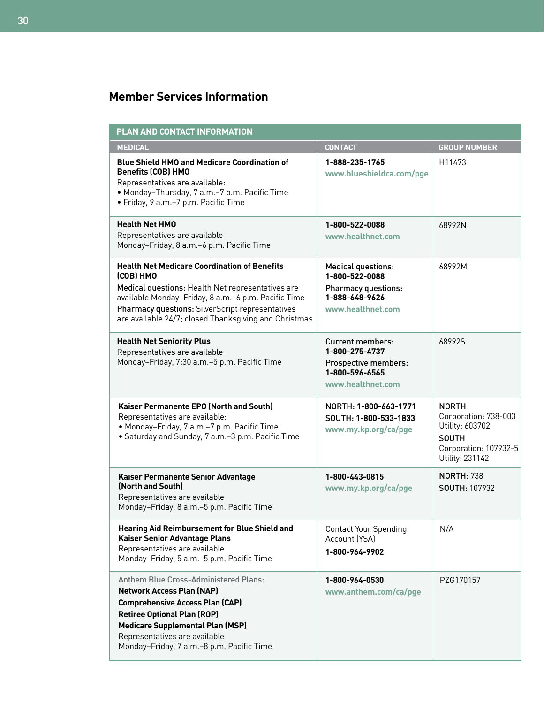# **Member Services Information**

| PLAN AND CONTACT INFORMATION                                                                                                                                                                                                                                                              |                                                                                                                  |                                                                                                                     |
|-------------------------------------------------------------------------------------------------------------------------------------------------------------------------------------------------------------------------------------------------------------------------------------------|------------------------------------------------------------------------------------------------------------------|---------------------------------------------------------------------------------------------------------------------|
| <b>MEDICAL</b>                                                                                                                                                                                                                                                                            | <b>CONTACT</b>                                                                                                   | <b>GROUP NUMBER</b>                                                                                                 |
| <b>Blue Shield HMO and Medicare Coordination of</b><br><b>Benefits (COB) HMO</b><br>Representatives are available:<br>· Monday-Thursday, 7 a.m.-7 p.m. Pacific Time<br>· Friday, 9 a.m. - 7 p.m. Pacific Time                                                                             | 1-888-235-1765<br>www.blueshieldca.com/pge                                                                       | H11473                                                                                                              |
| <b>Health Net HMO</b><br>Representatives are available<br>Monday-Friday, 8 a.m.-6 p.m. Pacific Time                                                                                                                                                                                       | 1-800-522-0088<br>www.healthnet.com                                                                              | 68992N                                                                                                              |
| <b>Health Net Medicare Coordination of Benefits</b><br>(COB) HMO<br>Medical questions: Health Net representatives are<br>available Monday-Friday, 8 a.m.-6 p.m. Pacific Time<br>Pharmacy questions: SilverScript representatives<br>are available 24/7; closed Thanksgiving and Christmas | <b>Medical questions:</b><br>1-800-522-0088<br><b>Pharmacy questions:</b><br>1-888-648-9626<br>www.healthnet.com | 68992M                                                                                                              |
| <b>Health Net Seniority Plus</b><br>Representatives are available<br>Monday-Friday, 7:30 a.m.-5 p.m. Pacific Time                                                                                                                                                                         | <b>Current members:</b><br>1-800-275-4737<br>Prospective members:<br>1-800-596-6565<br>www.healthnet.com         | 68992S                                                                                                              |
| Kaiser Permanente EPO (North and South)<br>Representatives are available:<br>· Monday-Friday, 7 a.m.-7 p.m. Pacific Time<br>· Saturday and Sunday, 7 a.m. - 3 p.m. Pacific Time                                                                                                           | NORTH: 1-800-663-1771<br>SOUTH: 1-800-533-1833<br>www.my.kp.org/ca/pge                                           | <b>NORTH</b><br>Corporation: 738-003<br>Utility: 603702<br><b>SOUTH</b><br>Corporation: 107932-5<br>Utility: 231142 |
| Kaiser Permanente Senior Advantage<br>(North and South)<br>Representatives are available<br>Monday-Friday, 8 a.m.-5 p.m. Pacific Time                                                                                                                                                     | 1-800-443-0815<br>www.my.kp.org/ca/pge                                                                           | <b>NORTH: 738</b><br>SOUTH: 107932                                                                                  |
| <b>Hearing Aid Reimbursement for Blue Shield and</b><br><b>Kaiser Senior Advantage Plans</b><br>Representatives are available<br>Monday-Friday, 5 a.m.-5 p.m. Pacific Time                                                                                                                | <b>Contact Your Spending</b><br>Account (YSA)<br>1-800-964-9902                                                  | N/A                                                                                                                 |
| <b>Anthem Blue Cross-Administered Plans:</b><br><b>Network Access Plan (NAP)</b><br><b>Comprehensive Access Plan (CAP)</b><br><b>Retiree Optional Plan (ROP)</b><br><b>Medicare Supplemental Plan (MSP)</b><br>Representatives are available<br>Monday-Friday, 7 a.m.-8 p.m. Pacific Time | 1-800-964-0530<br>www.anthem.com/ca/pge                                                                          | PZG170157                                                                                                           |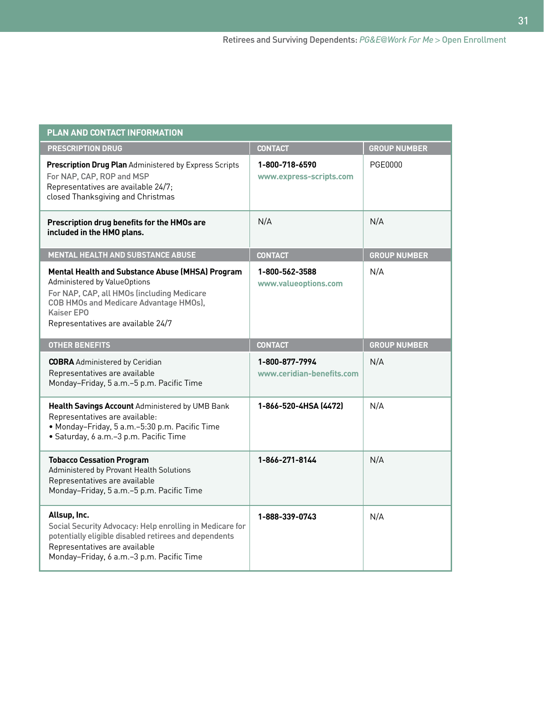| PLAN AND CONTACT INFORMATION                                                                                                                                                                                                 |                                             |                     |  |  |
|------------------------------------------------------------------------------------------------------------------------------------------------------------------------------------------------------------------------------|---------------------------------------------|---------------------|--|--|
| <b>PRESCRIPTION DRUG</b>                                                                                                                                                                                                     | <b>CONTACT</b>                              | <b>GROUP NUMBER</b> |  |  |
| Prescription Drug Plan Administered by Express Scripts<br>For NAP, CAP, ROP and MSP<br>Representatives are available 24/7;<br>closed Thanksgiving and Christmas                                                              | 1-800-718-6590<br>www.express-scripts.com   | PGE0000             |  |  |
| Prescription drug benefits for the HMOs are<br>included in the HMO plans.                                                                                                                                                    | N/A                                         | N/A                 |  |  |
| <b>MENTAL HEALTH AND SUBSTANCE ABUSE</b>                                                                                                                                                                                     | <b>CONTACT</b>                              | <b>GROUP NUMBER</b> |  |  |
| Mental Health and Substance Abuse (MHSA) Program<br>Administered by ValueOptions<br>For NAP, CAP, all HMOs (including Medicare<br>COB HMOs and Medicare Advantage HMOs),<br>Kaiser EPO<br>Representatives are available 24/7 | 1-800-562-3588<br>www.valueoptions.com      | N/A                 |  |  |
| <b>OTHER BENEFITS</b>                                                                                                                                                                                                        | <b>CONTACT</b>                              | <b>GROUP NUMBER</b> |  |  |
| <b>COBRA</b> Administered by Ceridian<br>Representatives are available<br>Monday-Friday, 5 a.m.-5 p.m. Pacific Time                                                                                                          | 1-800-877-7994<br>www.ceridian-benefits.com | N/A                 |  |  |
| Health Savings Account Administered by UMB Bank<br>Representatives are available:<br>· Monday-Friday, 5 a.m.-5:30 p.m. Pacific Time<br>· Saturday, 6 a.m.-3 p.m. Pacific Time                                                | 1-866-520-4HSA (4472)                       | N/A                 |  |  |
| <b>Tobacco Cessation Program</b><br>Administered by Provant Health Solutions<br>Representatives are available<br>Monday-Friday, 5 a.m.-5 p.m. Pacific Time                                                                   | 1-866-271-8144                              | N/A                 |  |  |
| Allsup, Inc.<br>Social Security Advocacy: Help enrolling in Medicare for<br>potentially eligible disabled retirees and dependents<br>Representatives are available<br>Monday-Friday, 6 a.m.-3 p.m. Pacific Time              | 1-888-339-0743                              | N/A                 |  |  |